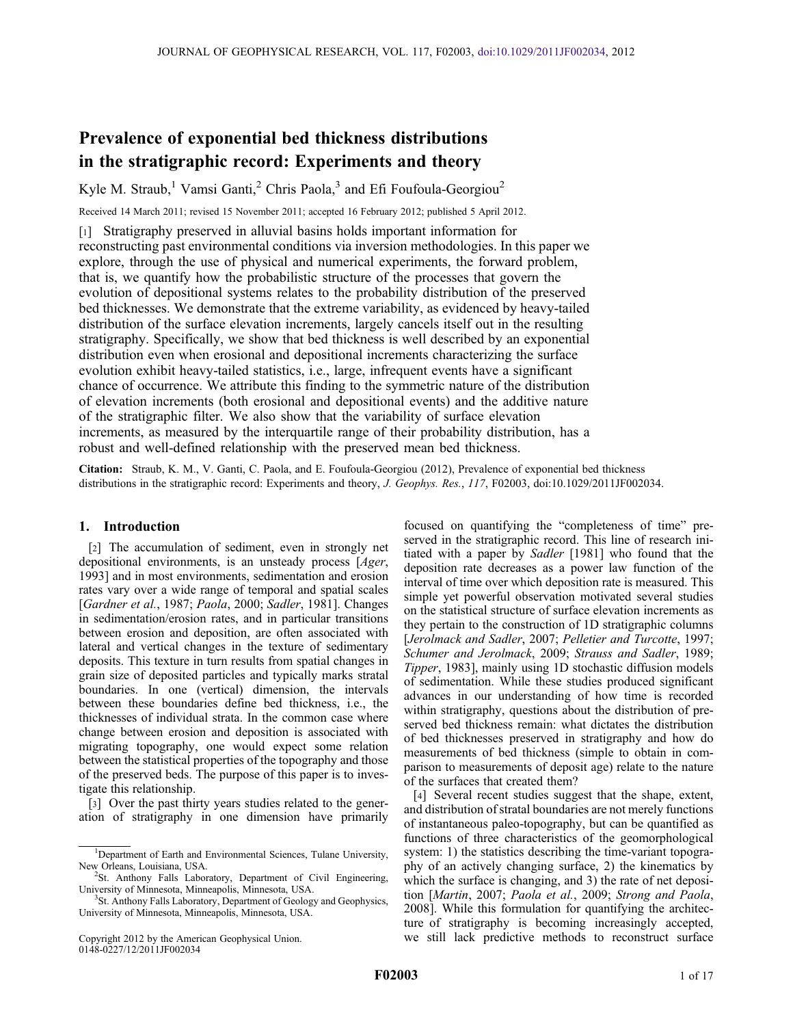# Prevalence of exponential bed thickness distributions in the stratigraphic record: Experiments and theory

Kyle M. Straub,<sup>1</sup> Vamsi Ganti,<sup>2</sup> Chris Paola,<sup>3</sup> and Efi Foufoula-Georgiou<sup>2</sup>

Received 14 March 2011; revised 15 November 2011; accepted 16 February 2012; published 5 April 2012.

[1] Stratigraphy preserved in alluvial basins holds important information for reconstructing past environmental conditions via inversion methodologies. In this paper we explore, through the use of physical and numerical experiments, the forward problem, that is, we quantify how the probabilistic structure of the processes that govern the evolution of depositional systems relates to the probability distribution of the preserved bed thicknesses. We demonstrate that the extreme variability, as evidenced by heavy-tailed distribution of the surface elevation increments, largely cancels itself out in the resulting stratigraphy. Specifically, we show that bed thickness is well described by an exponential distribution even when erosional and depositional increments characterizing the surface evolution exhibit heavy-tailed statistics, i.e., large, infrequent events have a significant chance of occurrence. We attribute this finding to the symmetric nature of the distribution of elevation increments (both erosional and depositional events) and the additive nature of the stratigraphic filter. We also show that the variability of surface elevation increments, as measured by the interquartile range of their probability distribution, has a robust and well-defined relationship with the preserved mean bed thickness.

Citation: Straub, K. M., V. Ganti, C. Paola, and E. Foufoula-Georgiou (2012), Prevalence of exponential bed thickness distributions in the stratigraphic record: Experiments and theory, J. Geophys. Res., 117, F02003, doi:10.1029/2011JF002034.

# 1. Introduction

[2] The accumulation of sediment, even in strongly net depositional environments, is an unsteady process [Ager, 1993] and in most environments, sedimentation and erosion rates vary over a wide range of temporal and spatial scales [Gardner et al., 1987; Paola, 2000; Sadler, 1981]. Changes in sedimentation/erosion rates, and in particular transitions between erosion and deposition, are often associated with lateral and vertical changes in the texture of sedimentary deposits. This texture in turn results from spatial changes in grain size of deposited particles and typically marks stratal boundaries. In one (vertical) dimension, the intervals between these boundaries define bed thickness, i.e., the thicknesses of individual strata. In the common case where change between erosion and deposition is associated with migrating topography, one would expect some relation between the statistical properties of the topography and those of the preserved beds. The purpose of this paper is to investigate this relationship.

[3] Over the past thirty years studies related to the generation of stratigraphy in one dimension have primarily

Copyright 2012 by the American Geophysical Union. 0148-0227/12/2011JF002034

focused on quantifying the "completeness of time" preserved in the stratigraphic record. This line of research initiated with a paper by Sadler [1981] who found that the deposition rate decreases as a power law function of the interval of time over which deposition rate is measured. This simple yet powerful observation motivated several studies on the statistical structure of surface elevation increments as they pertain to the construction of 1D stratigraphic columns [Jerolmack and Sadler, 2007; Pelletier and Turcotte, 1997; Schumer and Jerolmack, 2009; Strauss and Sadler, 1989; Tipper, 1983], mainly using 1D stochastic diffusion models of sedimentation. While these studies produced significant advances in our understanding of how time is recorded within stratigraphy, questions about the distribution of preserved bed thickness remain: what dictates the distribution of bed thicknesses preserved in stratigraphy and how do measurements of bed thickness (simple to obtain in comparison to measurements of deposit age) relate to the nature of the surfaces that created them?

[4] Several recent studies suggest that the shape, extent, and distribution of stratal boundaries are not merely functions of instantaneous paleo-topography, but can be quantified as functions of three characteristics of the geomorphological system: 1) the statistics describing the time-variant topography of an actively changing surface, 2) the kinematics by which the surface is changing, and 3) the rate of net deposition [Martin, 2007; Paola et al., 2009; Strong and Paola, 2008]. While this formulation for quantifying the architecture of stratigraphy is becoming increasingly accepted, we still lack predictive methods to reconstruct surface

<sup>&</sup>lt;sup>1</sup>Department of Earth and Environmental Sciences, Tulane University, New Orleans, Louisiana, USA.

<sup>&</sup>lt;sup>2</sup>St. Anthony Falls Laboratory, Department of Civil Engineering, University of Minnesota, Minneapolis, Minnesota, USA. <sup>3</sup>

<sup>&</sup>lt;sup>3</sup>St. Anthony Falls Laboratory, Department of Geology and Geophysics, University of Minnesota, Minneapolis, Minnesota, USA.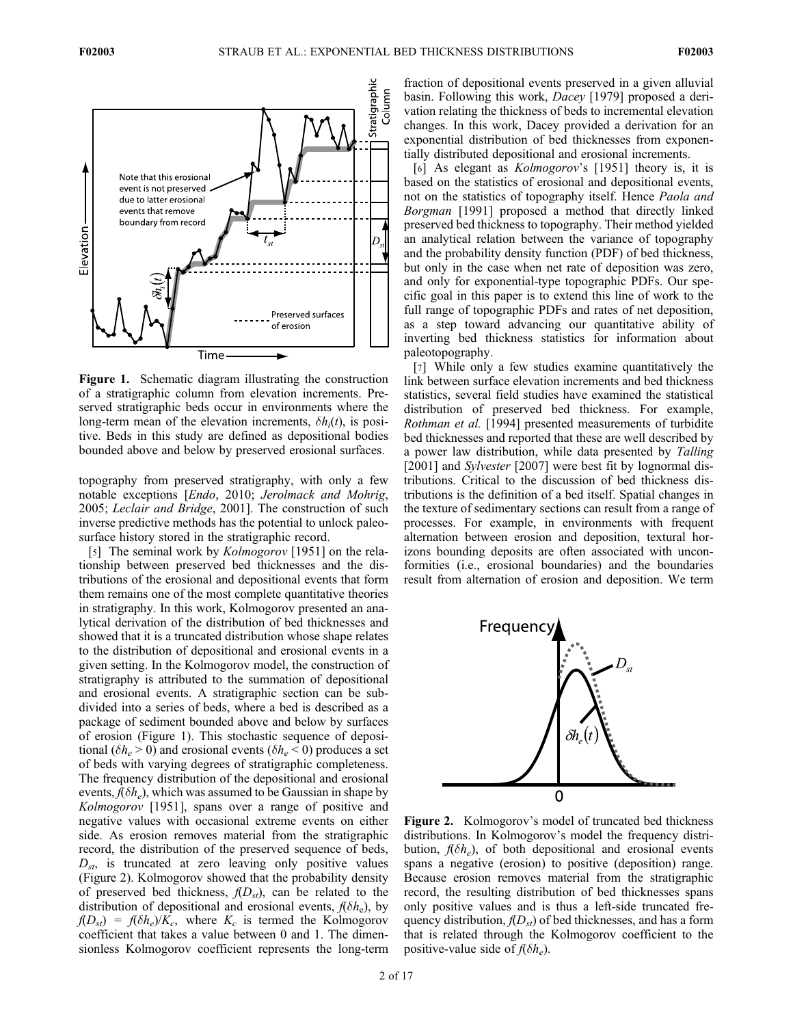

Figure 1. Schematic diagram illustrating the construction of a stratigraphic column from elevation increments. Preserved stratigraphic beds occur in environments where the long-term mean of the elevation increments,  $\delta h_i(t)$ , is positive. Beds in this study are defined as depositional bodies bounded above and below by preserved erosional surfaces.

topography from preserved stratigraphy, with only a few notable exceptions [Endo, 2010; Jerolmack and Mohrig, 2005; Leclair and Bridge, 2001]. The construction of such inverse predictive methods has the potential to unlock paleosurface history stored in the stratigraphic record.

[5] The seminal work by *Kolmogorov* [1951] on the relationship between preserved bed thicknesses and the distributions of the erosional and depositional events that form them remains one of the most complete quantitative theories in stratigraphy. In this work, Kolmogorov presented an analytical derivation of the distribution of bed thicknesses and showed that it is a truncated distribution whose shape relates to the distribution of depositional and erosional events in a given setting. In the Kolmogorov model, the construction of stratigraphy is attributed to the summation of depositional and erosional events. A stratigraphic section can be subdivided into a series of beds, where a bed is described as a package of sediment bounded above and below by surfaces of erosion (Figure 1). This stochastic sequence of depositional ( $\delta h_e > 0$ ) and erosional events ( $\delta h_e < 0$ ) produces a set of beds with varying degrees of stratigraphic completeness. The frequency distribution of the depositional and erosional events,  $f(\delta h_e)$ , which was assumed to be Gaussian in shape by Kolmogorov [1951], spans over a range of positive and negative values with occasional extreme events on either side. As erosion removes material from the stratigraphic record, the distribution of the preserved sequence of beds,  $D_{st}$ , is truncated at zero leaving only positive values (Figure 2). Kolmogorov showed that the probability density of preserved bed thickness,  $f(D_{st})$ , can be related to the distribution of depositional and erosional events,  $f(\delta h_e)$ , by  $f(D_{st}) = f(\delta h_e)/K_c$ , where  $K_c$  is termed the Kolmogorov coefficient that takes a value between 0 and 1. The dimensionless Kolmogorov coefficient represents the long-term

fraction of depositional events preserved in a given alluvial basin. Following this work, Dacey [1979] proposed a derivation relating the thickness of beds to incremental elevation changes. In this work, Dacey provided a derivation for an exponential distribution of bed thicknesses from exponentially distributed depositional and erosional increments.

[6] As elegant as *Kolmogorov*'s [1951] theory is, it is based on the statistics of erosional and depositional events, not on the statistics of topography itself. Hence Paola and Borgman [1991] proposed a method that directly linked preserved bed thickness to topography. Their method yielded an analytical relation between the variance of topography and the probability density function (PDF) of bed thickness, but only in the case when net rate of deposition was zero, and only for exponential-type topographic PDFs. Our specific goal in this paper is to extend this line of work to the full range of topographic PDFs and rates of net deposition, as a step toward advancing our quantitative ability of inverting bed thickness statistics for information about paleotopography.

[7] While only a few studies examine quantitatively the link between surface elevation increments and bed thickness statistics, several field studies have examined the statistical distribution of preserved bed thickness. For example, Rothman et al. [1994] presented measurements of turbidite bed thicknesses and reported that these are well described by a power law distribution, while data presented by Talling [2001] and Sylvester [2007] were best fit by lognormal distributions. Critical to the discussion of bed thickness distributions is the definition of a bed itself. Spatial changes in the texture of sedimentary sections can result from a range of processes. For example, in environments with frequent alternation between erosion and deposition, textural horizons bounding deposits are often associated with unconformities (i.e., erosional boundaries) and the boundaries result from alternation of erosion and deposition. We term



Figure 2. Kolmogorov's model of truncated bed thickness distributions. In Kolmogorov's model the frequency distribution,  $f(\delta h_e)$ , of both depositional and erosional events spans a negative (erosion) to positive (deposition) range. Because erosion removes material from the stratigraphic record, the resulting distribution of bed thicknesses spans only positive values and is thus a left-side truncated frequency distribution,  $f(D_{st})$  of bed thicknesses, and has a form that is related through the Kolmogorov coefficient to the positive-value side of  $f(\delta h_e)$ .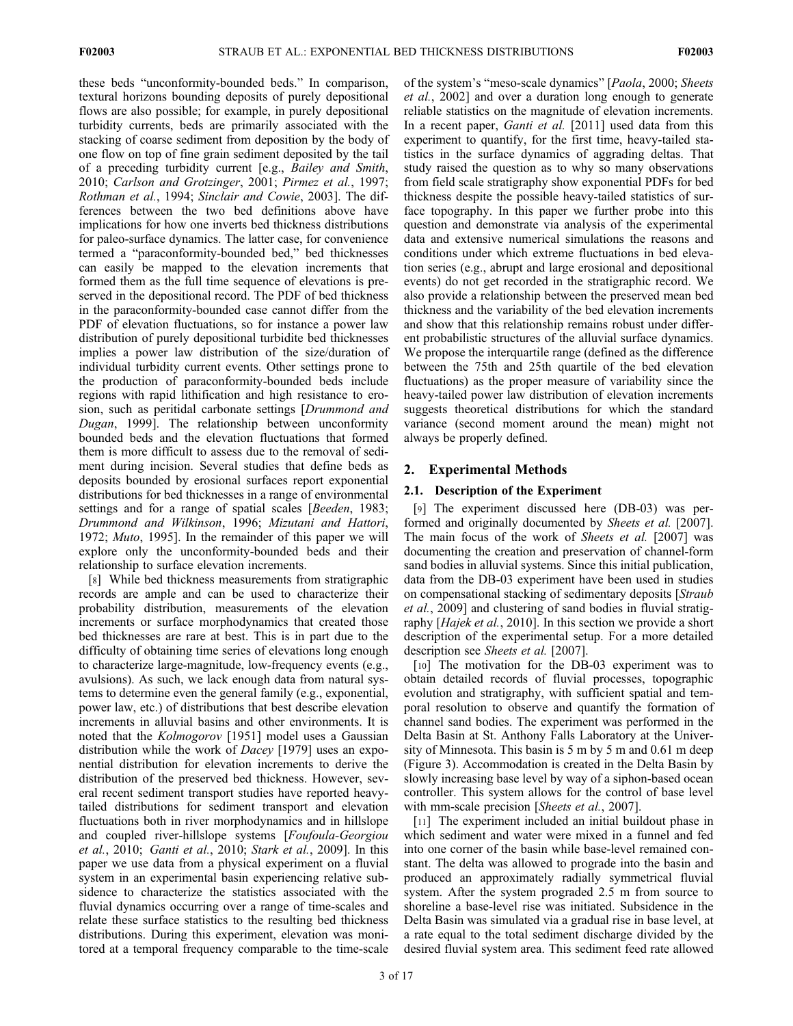these beds "unconformity-bounded beds." In comparison, textural horizons bounding deposits of purely depositional flows are also possible; for example, in purely depositional turbidity currents, beds are primarily associated with the stacking of coarse sediment from deposition by the body of one flow on top of fine grain sediment deposited by the tail of a preceding turbidity current [e.g., Bailey and Smith, 2010; Carlson and Grotzinger, 2001; Pirmez et al., 1997; Rothman et al., 1994; Sinclair and Cowie, 2003]. The differences between the two bed definitions above have implications for how one inverts bed thickness distributions for paleo-surface dynamics. The latter case, for convenience termed a "paraconformity-bounded bed," bed thicknesses can easily be mapped to the elevation increments that formed them as the full time sequence of elevations is preserved in the depositional record. The PDF of bed thickness in the paraconformity-bounded case cannot differ from the PDF of elevation fluctuations, so for instance a power law distribution of purely depositional turbidite bed thicknesses implies a power law distribution of the size/duration of individual turbidity current events. Other settings prone to the production of paraconformity-bounded beds include regions with rapid lithification and high resistance to erosion, such as peritidal carbonate settings [Drummond and Dugan, 1999]. The relationship between unconformity bounded beds and the elevation fluctuations that formed them is more difficult to assess due to the removal of sediment during incision. Several studies that define beds as deposits bounded by erosional surfaces report exponential distributions for bed thicknesses in a range of environmental settings and for a range of spatial scales *[Beeden, 1983;* Drummond and Wilkinson, 1996; Mizutani and Hattori, 1972; Muto, 1995]. In the remainder of this paper we will explore only the unconformity-bounded beds and their relationship to surface elevation increments.

[8] While bed thickness measurements from stratigraphic records are ample and can be used to characterize their probability distribution, measurements of the elevation increments or surface morphodynamics that created those bed thicknesses are rare at best. This is in part due to the difficulty of obtaining time series of elevations long enough to characterize large-magnitude, low-frequency events (e.g., avulsions). As such, we lack enough data from natural systems to determine even the general family (e.g., exponential, power law, etc.) of distributions that best describe elevation increments in alluvial basins and other environments. It is noted that the Kolmogorov [1951] model uses a Gaussian distribution while the work of *Dacey* [1979] uses an exponential distribution for elevation increments to derive the distribution of the preserved bed thickness. However, several recent sediment transport studies have reported heavytailed distributions for sediment transport and elevation fluctuations both in river morphodynamics and in hillslope and coupled river-hillslope systems [Foufoula-Georgiou et al., 2010; Ganti et al., 2010; Stark et al., 2009]. In this paper we use data from a physical experiment on a fluvial system in an experimental basin experiencing relative subsidence to characterize the statistics associated with the fluvial dynamics occurring over a range of time-scales and relate these surface statistics to the resulting bed thickness distributions. During this experiment, elevation was monitored at a temporal frequency comparable to the time-scale

of the system's "meso-scale dynamics" [Paola, 2000; Sheets et al., 2002] and over a duration long enough to generate reliable statistics on the magnitude of elevation increments. In a recent paper, *Ganti et al.* [2011] used data from this experiment to quantify, for the first time, heavy-tailed statistics in the surface dynamics of aggrading deltas. That study raised the question as to why so many observations from field scale stratigraphy show exponential PDFs for bed thickness despite the possible heavy-tailed statistics of surface topography. In this paper we further probe into this question and demonstrate via analysis of the experimental data and extensive numerical simulations the reasons and conditions under which extreme fluctuations in bed elevation series (e.g., abrupt and large erosional and depositional events) do not get recorded in the stratigraphic record. We also provide a relationship between the preserved mean bed thickness and the variability of the bed elevation increments and show that this relationship remains robust under different probabilistic structures of the alluvial surface dynamics. We propose the interquartile range (defined as the difference between the 75th and 25th quartile of the bed elevation fluctuations) as the proper measure of variability since the heavy-tailed power law distribution of elevation increments suggests theoretical distributions for which the standard variance (second moment around the mean) might not always be properly defined.

# 2. Experimental Methods

# 2.1. Description of the Experiment

[9] The experiment discussed here (DB-03) was performed and originally documented by Sheets et al. [2007]. The main focus of the work of Sheets et al. [2007] was documenting the creation and preservation of channel-form sand bodies in alluvial systems. Since this initial publication, data from the DB-03 experiment have been used in studies on compensational stacking of sedimentary deposits [Straub et al., 2009] and clustering of sand bodies in fluvial stratigraphy [Hajek et al., 2010]. In this section we provide a short description of the experimental setup. For a more detailed description see Sheets et al. [2007].

[10] The motivation for the DB-03 experiment was to obtain detailed records of fluvial processes, topographic evolution and stratigraphy, with sufficient spatial and temporal resolution to observe and quantify the formation of channel sand bodies. The experiment was performed in the Delta Basin at St. Anthony Falls Laboratory at the University of Minnesota. This basin is 5 m by 5 m and 0.61 m deep (Figure 3). Accommodation is created in the Delta Basin by slowly increasing base level by way of a siphon-based ocean controller. This system allows for the control of base level with mm-scale precision [*Sheets et al.*, 2007].

[11] The experiment included an initial buildout phase in which sediment and water were mixed in a funnel and fed into one corner of the basin while base-level remained constant. The delta was allowed to prograde into the basin and produced an approximately radially symmetrical fluvial system. After the system prograded 2.5 m from source to shoreline a base-level rise was initiated. Subsidence in the Delta Basin was simulated via a gradual rise in base level, at a rate equal to the total sediment discharge divided by the desired fluvial system area. This sediment feed rate allowed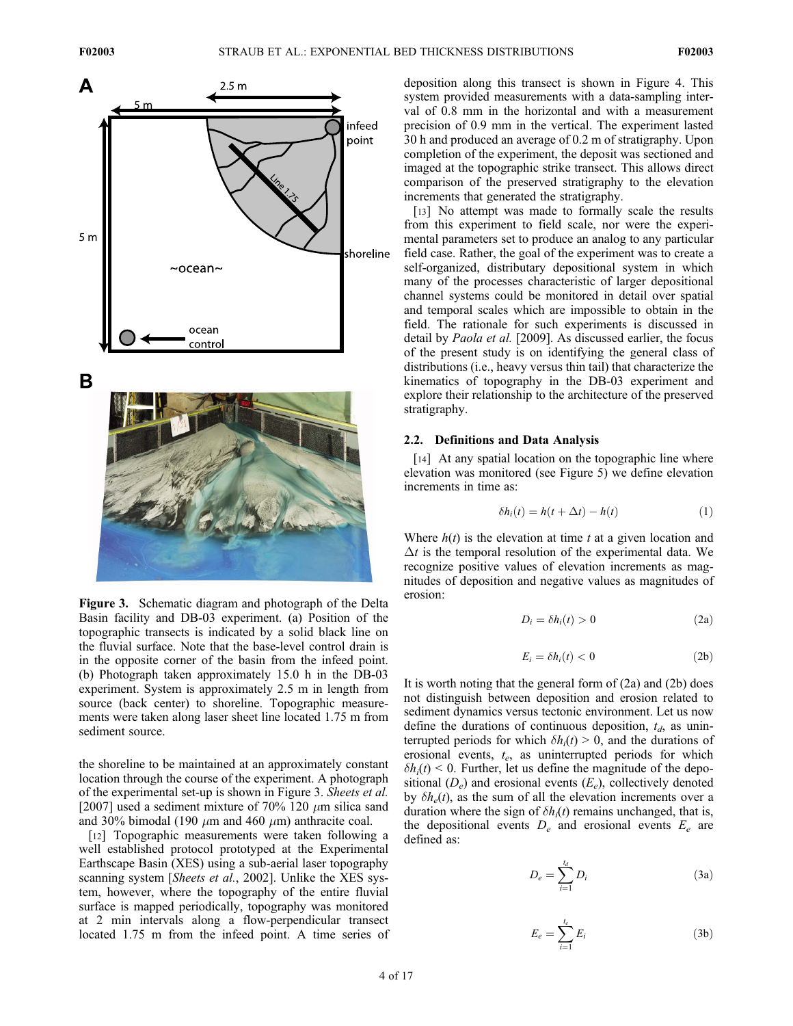



Figure 3. Schematic diagram and photograph of the Delta Basin facility and DB-03 experiment. (a) Position of the topographic transects is indicated by a solid black line on the fluvial surface. Note that the base-level control drain is in the opposite corner of the basin from the infeed point. (b) Photograph taken approximately 15.0 h in the DB-03 experiment. System is approximately 2.5 m in length from source (back center) to shoreline. Topographic measurements were taken along laser sheet line located 1.75 m from sediment source.

the shoreline to be maintained at an approximately constant location through the course of the experiment. A photograph of the experimental set-up is shown in Figure 3. Sheets et al. [2007] used a sediment mixture of 70% 120  $\mu$ m silica sand and 30% bimodal (190  $\mu$ m and 460  $\mu$ m) anthracite coal.

[12] Topographic measurements were taken following a well established protocol prototyped at the Experimental Earthscape Basin (XES) using a sub-aerial laser topography scanning system [*Sheets et al.*, 2002]. Unlike the XES system, however, where the topography of the entire fluvial surface is mapped periodically, topography was monitored at 2 min intervals along a flow-perpendicular transect located 1.75 m from the infeed point. A time series of deposition along this transect is shown in Figure 4. This system provided measurements with a data-sampling interval of 0.8 mm in the horizontal and with a measurement precision of 0.9 mm in the vertical. The experiment lasted 30 h and produced an average of 0.2 m of stratigraphy. Upon completion of the experiment, the deposit was sectioned and imaged at the topographic strike transect. This allows direct comparison of the preserved stratigraphy to the elevation increments that generated the stratigraphy.

[13] No attempt was made to formally scale the results from this experiment to field scale, nor were the experimental parameters set to produce an analog to any particular field case. Rather, the goal of the experiment was to create a self-organized, distributary depositional system in which many of the processes characteristic of larger depositional channel systems could be monitored in detail over spatial and temporal scales which are impossible to obtain in the field. The rationale for such experiments is discussed in detail by Paola et al. [2009]. As discussed earlier, the focus of the present study is on identifying the general class of distributions (i.e., heavy versus thin tail) that characterize the kinematics of topography in the DB-03 experiment and explore their relationship to the architecture of the preserved stratigraphy.

## 2.2. Definitions and Data Analysis

[14] At any spatial location on the topographic line where elevation was monitored (see Figure 5) we define elevation increments in time as:

$$
\delta h_i(t) = h(t + \Delta t) - h(t) \tag{1}
$$

Where  $h(t)$  is the elevation at time t at a given location and  $\Delta t$  is the temporal resolution of the experimental data. We recognize positive values of elevation increments as magnitudes of deposition and negative values as magnitudes of erosion:

$$
D_i = \delta h_i(t) > 0
$$
 (2a)

$$
E_i = \delta h_i(t) < 0 \tag{2b}
$$

It is worth noting that the general form of  $(2a)$  and  $(2b)$  does not distinguish between deposition and erosion related to sediment dynamics versus tectonic environment. Let us now define the durations of continuous deposition,  $t_d$ , as uninterrupted periods for which  $\delta h_i(t) > 0$ , and the durations of erosional events,  $t_e$ , as uninterrupted periods for which  $\delta h_i(t)$  < 0. Further, let us define the magnitude of the depositional  $(D_e)$  and erosional events  $(E_e)$ , collectively denoted by  $\delta h_e(t)$ , as the sum of all the elevation increments over a duration where the sign of  $\delta h_i(t)$  remains unchanged, that is, the depositional events  $D_e$  and erosional events  $E_e$  are defined as:

$$
D_e = \sum_{i=1}^{t_d} D_i \tag{3a}
$$

$$
E_e = \sum_{i=1}^{t_e} E_i \tag{3b}
$$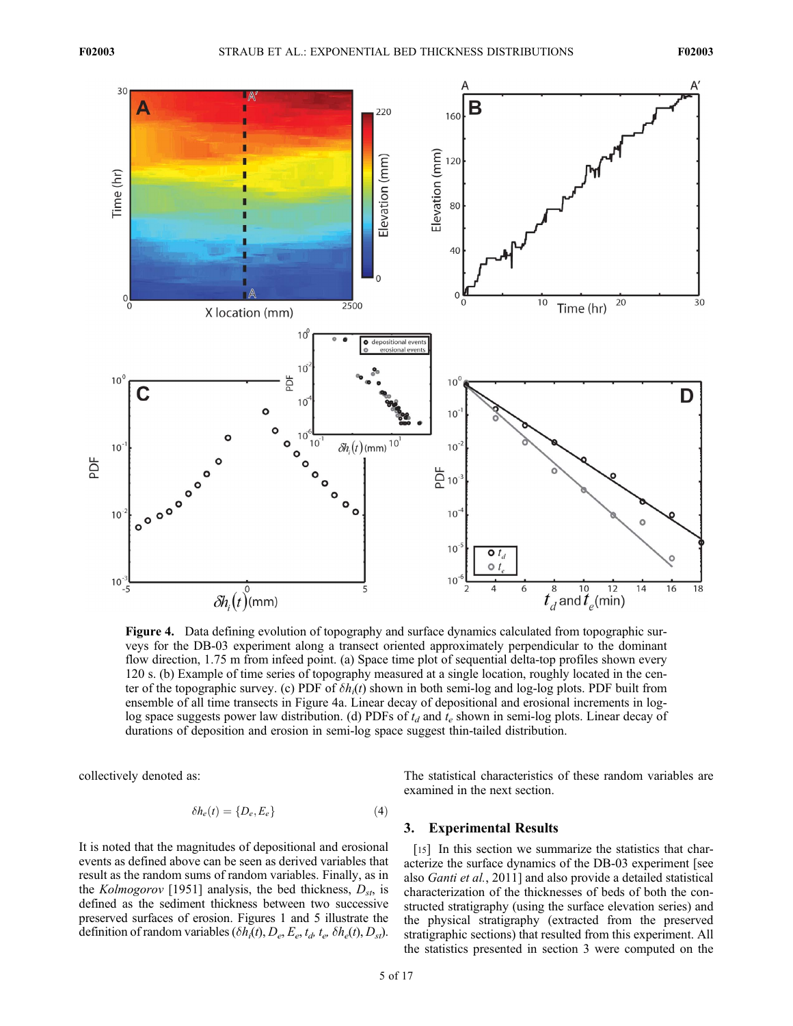

Figure 4. Data defining evolution of topography and surface dynamics calculated from topographic surveys for the DB-03 experiment along a transect oriented approximately perpendicular to the dominant flow direction, 1.75 m from infeed point. (a) Space time plot of sequential delta-top profiles shown every 120 s. (b) Example of time series of topography measured at a single location, roughly located in the center of the topographic survey. (c) PDF of  $\delta h_i(t)$  shown in both semi-log and log-log plots. PDF built from ensemble of all time transects in Figure 4a. Linear decay of depositional and erosional increments in loglog space suggests power law distribution. (d) PDFs of  $t_d$  and  $t_e$  shown in semi-log plots. Linear decay of durations of deposition and erosion in semi-log space suggest thin-tailed distribution.

collectively denoted as:

$$
\delta h_e(t) = \{D_e, E_e\} \tag{4}
$$

It is noted that the magnitudes of depositional and erosional events as defined above can be seen as derived variables that result as the random sums of random variables. Finally, as in the Kolmogorov [1951] analysis, the bed thickness,  $D_{st}$ , is defined as the sediment thickness between two successive preserved surfaces of erosion. Figures 1 and 5 illustrate the definition of random variables  $(\delta h_i(t), D_e, E_e, t_d, t_e, \delta h_e(t), D_{st})$ .

The statistical characteristics of these random variables are examined in the next section.

# 3. Experimental Results

[15] In this section we summarize the statistics that characterize the surface dynamics of the DB-03 experiment [see also Ganti et al., 2011] and also provide a detailed statistical characterization of the thicknesses of beds of both the constructed stratigraphy (using the surface elevation series) and the physical stratigraphy (extracted from the preserved stratigraphic sections) that resulted from this experiment. All the statistics presented in section 3 were computed on the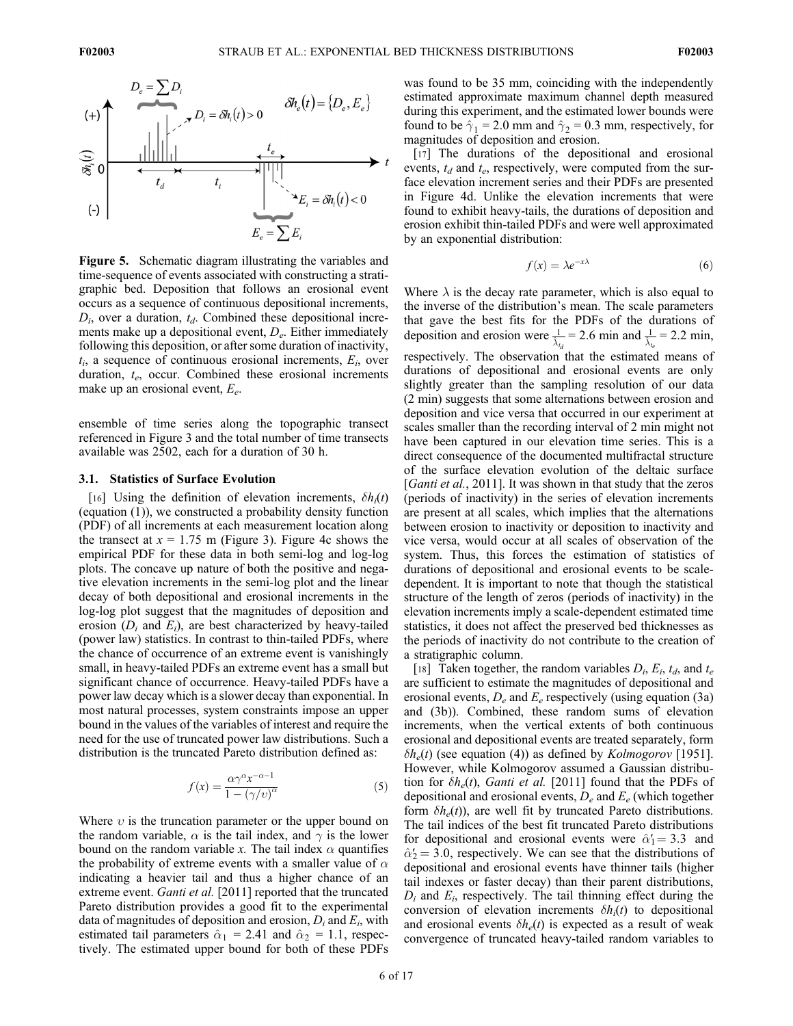

Figure 5. Schematic diagram illustrating the variables and time-sequence of events associated with constructing a stratigraphic bed. Deposition that follows an erosional event occurs as a sequence of continuous depositional increments,  $D_i$ , over a duration,  $t_d$ . Combined these depositional increments make up a depositional event,  $D_e$ . Either immediately following this deposition, or after some duration of inactivity,  $t_i$ , a sequence of continuous erosional increments,  $E_i$ , over duration,  $t_e$ , occur. Combined these erosional increments make up an erosional event,  $E_e$ .

ensemble of time series along the topographic transect referenced in Figure 3 and the total number of time transects available was 2502, each for a duration of 30 h.

## 3.1. Statistics of Surface Evolution

[16] Using the definition of elevation increments,  $\delta h_i(t)$ (equation (1)), we constructed a probability density function (PDF) of all increments at each measurement location along the transect at  $x = 1.75$  m (Figure 3). Figure 4c shows the empirical PDF for these data in both semi-log and log-log plots. The concave up nature of both the positive and negative elevation increments in the semi-log plot and the linear decay of both depositional and erosional increments in the log-log plot suggest that the magnitudes of deposition and erosion  $(D_i$  and  $E_i$ ), are best characterized by heavy-tailed (power law) statistics. In contrast to thin-tailed PDFs, where the chance of occurrence of an extreme event is vanishingly small, in heavy-tailed PDFs an extreme event has a small but significant chance of occurrence. Heavy-tailed PDFs have a power law decay which is a slower decay than exponential. In most natural processes, system constraints impose an upper bound in the values of the variables of interest and require the need for the use of truncated power law distributions. Such a distribution is the truncated Pareto distribution defined as:

$$
f(x) = \frac{\alpha \gamma^{\alpha} x^{-\alpha - 1}}{1 - (\gamma/v)^{\alpha}}
$$
 (5)

Where  $v$  is the truncation parameter or the upper bound on the random variable,  $\alpha$  is the tail index, and  $\gamma$  is the lower bound on the random variable x. The tail index  $\alpha$  quantifies the probability of extreme events with a smaller value of  $\alpha$ indicating a heavier tail and thus a higher chance of an extreme event. Ganti et al. [2011] reported that the truncated Pareto distribution provides a good fit to the experimental data of magnitudes of deposition and erosion,  $D_i$  and  $E_i$ , with estimated tail parameters  $\hat{\alpha}_1 = 2.41$  and  $\hat{\alpha}_2 = 1.1$ , respectively. The estimated upper bound for both of these PDFs

was found to be 35 mm, coinciding with the independently estimated approximate maximum channel depth measured during this experiment, and the estimated lower bounds were found to be  $\hat{\gamma}_1 = 2.0$  mm and  $\hat{\gamma}_2 = 0.3$  mm, respectively, for magnitudes of deposition and erosion.

[17] The durations of the depositional and erosional events,  $t_d$  and  $t_e$ , respectively, were computed from the surface elevation increment series and their PDFs are presented in Figure 4d. Unlike the elevation increments that were found to exhibit heavy-tails, the durations of deposition and erosion exhibit thin-tailed PDFs and were well approximated by an exponential distribution:

$$
f(x) = \lambda e^{-x\lambda} \tag{6}
$$

Where  $\lambda$  is the decay rate parameter, which is also equal to the inverse of the distribution's mean. The scale parameters that gave the best fits for the PDFs of the durations of deposition and erosion were  $\frac{1}{\lambda_{t_d}} = 2.6$  min and  $\frac{1}{\lambda_{t_e}} = 2.2$  min, respectively. The observation that the estimated means of durations of depositional and erosional events are only slightly greater than the sampling resolution of our data (2 min) suggests that some alternations between erosion and deposition and vice versa that occurred in our experiment at scales smaller than the recording interval of 2 min might not have been captured in our elevation time series. This is a direct consequence of the documented multifractal structure of the surface elevation evolution of the deltaic surface [Ganti et al., 2011]. It was shown in that study that the zeros (periods of inactivity) in the series of elevation increments are present at all scales, which implies that the alternations between erosion to inactivity or deposition to inactivity and vice versa, would occur at all scales of observation of the system. Thus, this forces the estimation of statistics of durations of depositional and erosional events to be scaledependent. It is important to note that though the statistical structure of the length of zeros (periods of inactivity) in the elevation increments imply a scale-dependent estimated time statistics, it does not affect the preserved bed thicknesses as the periods of inactivity do not contribute to the creation of a stratigraphic column.

[18] Taken together, the random variables  $D_i$ ,  $E_i$ ,  $t_d$ , and  $t_e$ are sufficient to estimate the magnitudes of depositional and erosional events,  $D_e$  and  $E_e$  respectively (using equation (3a) and (3b)). Combined, these random sums of elevation increments, when the vertical extents of both continuous erosional and depositional events are treated separately, form  $\delta h_e(t)$  (see equation (4)) as defined by *Kolmogorov* [1951]. However, while Kolmogorov assumed a Gaussian distribution for  $\delta h_e(t)$ , Ganti et al. [2011] found that the PDFs of depositional and erosional events,  $D_e$  and  $E_e$  (which together form  $\delta h_e(t)$ , are well fit by truncated Pareto distributions. The tail indices of the best fit truncated Pareto distributions for depositional and erosional events were  $\hat{\alpha}'_1 = 3.3$  and  $\hat{\alpha}'_2 = 3.0$  respectively. We can see that the distributions of  $\hat{\alpha}'_2$  = 3.0, respectively. We can see that the distributions of depositional and erosional events have thinner tails (higher depositional and erosional events have thinner tails (higher tail indexes or faster decay) than their parent distributions,  $D_i$  and  $E_i$ , respectively. The tail thinning effect during the conversion of elevation increments  $\delta h_i(t)$  to depositional and erosional events  $\delta h_e(t)$  is expected as a result of weak convergence of truncated heavy-tailed random variables to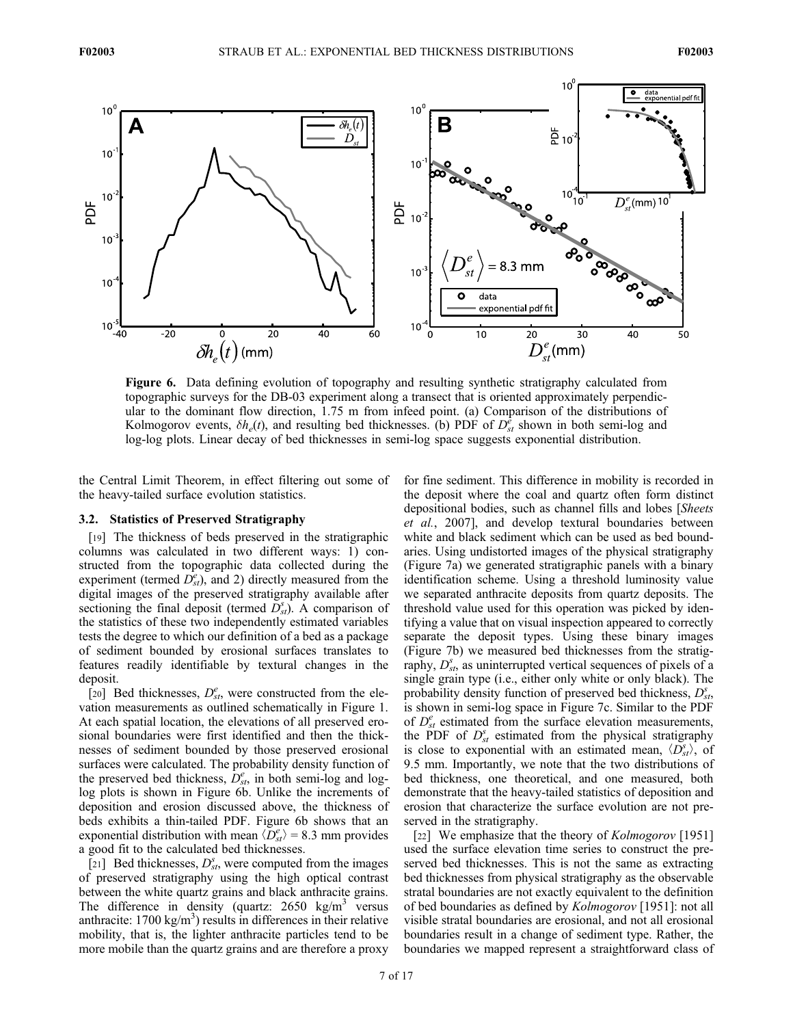

Figure 6. Data defining evolution of topography and resulting synthetic stratigraphy calculated from topographic surveys for the DB-03 experiment along a transect that is oriented approximately perpendicular to the dominant flow direction, 1.75 m from infeed point. (a) Comparison of the distributions of Kolmogorov events,  $\delta h_e(t)$ , and resulting bed thicknesses. (b) PDF of  $D_{st}^{\dot{e}}$  shown in both semi-log and log-log plots. Linear decay of bed thicknesses in semi-log space suggests exponential distribution.

the Central Limit Theorem, in effect filtering out some of the heavy-tailed surface evolution statistics.

# 3.2. Statistics of Preserved Stratigraphy

[19] The thickness of beds preserved in the stratigraphic columns was calculated in two different ways: 1) constructed from the topographic data collected during the experiment (termed  $D_{st}^e$ ), and 2) directly measured from the digital images of the preserved stratigraphy available after sectioning the final deposit (termed  $\overline{D}_{st}^s$ ). A comparison of the statistics of these two independently estimated variables tests the degree to which our definition of a bed as a package of sediment bounded by erosional surfaces translates to features readily identifiable by textural changes in the deposit.

[20] Bed thicknesses,  $D_{st}^e$ , were constructed from the elevation measurements as outlined schematically in Figure 1. At each spatial location, the elevations of all preserved erosional boundaries were first identified and then the thicknesses of sediment bounded by those preserved erosional surfaces were calculated. The probability density function of the preserved bed thickness,  $\dot{D}_{st}^e$ , in both semi-log and loglog plots is shown in Figure 6b. Unlike the increments of deposition and erosion discussed above, the thickness of beds exhibits a thin-tailed PDF. Figure 6b shows that an exponential distribution with mean  $\langle \overline{D}_{st}^e \rangle = 8.3$  mm provides a good fit to the calculated bed thicknesses.

[21] Bed thicknesses,  $D_{st}^s$ , were computed from the images of preserved stratigraphy using the high optical contrast between the white quartz grains and black anthracite grains. The difference in density (quartz:  $2650 \text{ kg/m}^3$  versus anthracite:  $1700 \text{ kg/m}^3$ ) results in differences in their relative mobility, that is, the lighter anthracite particles tend to be more mobile than the quartz grains and are therefore a proxy for fine sediment. This difference in mobility is recorded in the deposit where the coal and quartz often form distinct depositional bodies, such as channel fills and lobes [Sheets et al., 2007], and develop textural boundaries between white and black sediment which can be used as bed boundaries. Using undistorted images of the physical stratigraphy (Figure 7a) we generated stratigraphic panels with a binary identification scheme. Using a threshold luminosity value we separated anthracite deposits from quartz deposits. The threshold value used for this operation was picked by identifying a value that on visual inspection appeared to correctly separate the deposit types. Using these binary images (Figure 7b) we measured bed thicknesses from the stratigraphy,  $D_{st}^s$ , as uninterrupted vertical sequences of pixels of a single grain type (i.e., either only white or only black). The probability density function of preserved bed thickness,  $D_{st}^s$ , is shown in semi-log space in Figure 7c. Similar to the PDF of  $D_{st}^e$  estimated from the surface elevation measurements, the PDF of  $D_{st}^s$  estimated from the physical stratigraphy is close to exponential with an estimated mean,  $\langle D_{st}^s \rangle$ , of 9.5 mm. Importantly, we note that the two distributions of bed thickness, one theoretical, and one measured, both demonstrate that the heavy-tailed statistics of deposition and erosion that characterize the surface evolution are not preserved in the stratigraphy.

[22] We emphasize that the theory of Kolmogorov [1951] used the surface elevation time series to construct the preserved bed thicknesses. This is not the same as extracting bed thicknesses from physical stratigraphy as the observable stratal boundaries are not exactly equivalent to the definition of bed boundaries as defined by Kolmogorov [1951]: not all visible stratal boundaries are erosional, and not all erosional boundaries result in a change of sediment type. Rather, the boundaries we mapped represent a straightforward class of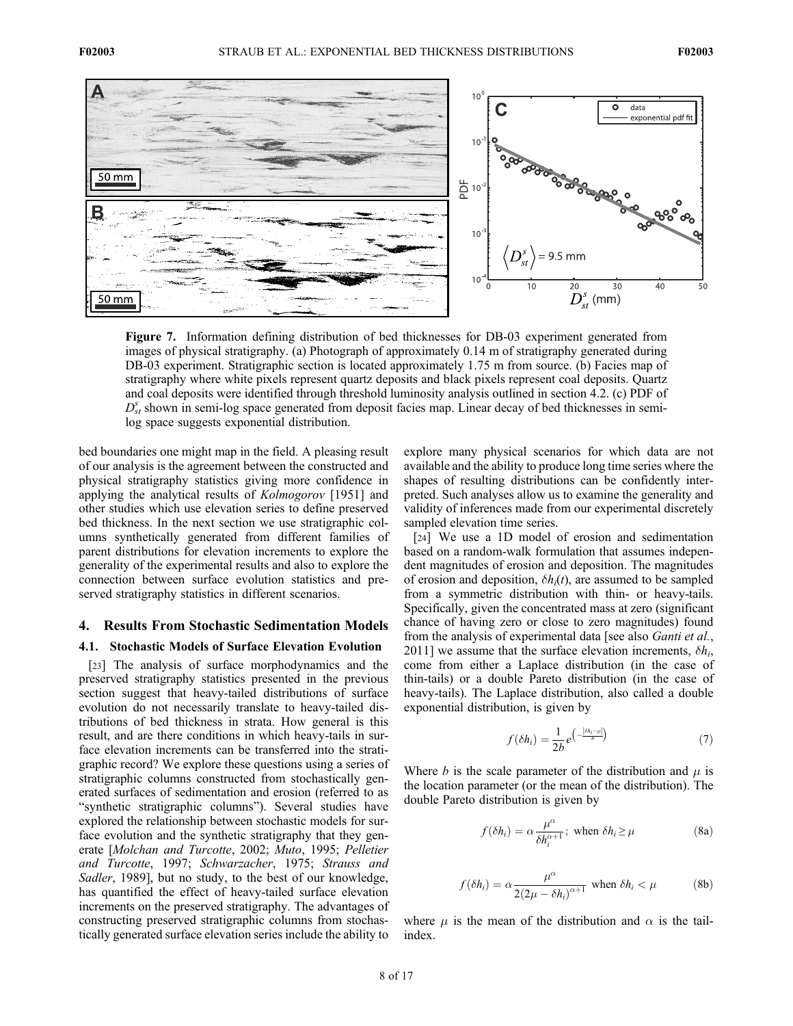

Figure 7. Information defining distribution of bed thicknesses for DB-03 experiment generated from images of physical stratigraphy. (a) Photograph of approximately 0.14 m of stratigraphy generated during DB-03 experiment. Stratigraphic section is located approximately 1.75 m from source. (b) Facies map of stratigraphy where white pixels represent quartz deposits and black pixels represent coal deposits. Quartz and coal deposits were identified through threshold luminosity analysis outlined in section 4.2. (c) PDF of  $D_{st}^s$  shown in semi-log space generated from deposit facies map. Linear decay of bed thicknesses in semilog space suggests exponential distribution.

bed boundaries one might map in the field. A pleasing result of our analysis is the agreement between the constructed and physical stratigraphy statistics giving more confidence in applying the analytical results of Kolmogorov [1951] and other studies which use elevation series to define preserved bed thickness. In the next section we use stratigraphic columns synthetically generated from different families of parent distributions for elevation increments to explore the generality of the experimental results and also to explore the connection between surface evolution statistics and preserved stratigraphy statistics in different scenarios.

# 4. Results From Stochastic Sedimentation Models

#### 4.1. Stochastic Models of Surface Elevation Evolution

[23] The analysis of surface morphodynamics and the preserved stratigraphy statistics presented in the previous section suggest that heavy-tailed distributions of surface evolution do not necessarily translate to heavy-tailed distributions of bed thickness in strata. How general is this result, and are there conditions in which heavy-tails in surface elevation increments can be transferred into the stratigraphic record? We explore these questions using a series of stratigraphic columns constructed from stochastically generated surfaces of sedimentation and erosion (referred to as "synthetic stratigraphic columns"). Several studies have explored the relationship between stochastic models for surface evolution and the synthetic stratigraphy that they generate [Molchan and Turcotte, 2002; Muto, 1995; Pelletier and Turcotte, 1997; Schwarzacher, 1975; Strauss and Sadler, 1989], but no study, to the best of our knowledge, has quantified the effect of heavy-tailed surface elevation increments on the preserved stratigraphy. The advantages of constructing preserved stratigraphic columns from stochastically generated surface elevation series include the ability to

explore many physical scenarios for which data are not available and the ability to produce long time series where the shapes of resulting distributions can be confidently interpreted. Such analyses allow us to examine the generality and validity of inferences made from our experimental discretely sampled elevation time series.

[24] We use a 1D model of erosion and sedimentation based on a random-walk formulation that assumes independent magnitudes of erosion and deposition. The magnitudes of erosion and deposition,  $\delta h_i(t)$ , are assumed to be sampled from a symmetric distribution with thin- or heavy-tails. Specifically, given the concentrated mass at zero (significant chance of having zero or close to zero magnitudes) found from the analysis of experimental data [see also *Ganti et al.*, 2011] we assume that the surface elevation increments,  $\delta h_i$ , come from either a Laplace distribution (in the case of thin-tails) or a double Pareto distribution (in the case of heavy-tails). The Laplace distribution, also called a double exponential distribution, is given by

$$
f(\delta h_i) = \frac{1}{2b} e^{\left(-\frac{|\delta h_i - \mu|}{b}\right)}\tag{7}
$$

Where b is the scale parameter of the distribution and  $\mu$  is the location parameter (or the mean of the distribution). The double Pareto distribution is given by

$$
f(\delta h_i) = \alpha \frac{\mu^{\alpha}}{\delta h_i^{\alpha+1}}; \text{ when } \delta h_i \ge \mu
$$
 (8a)

$$
f(\delta h_i) = \alpha \frac{\mu^{\alpha}}{2(2\mu - \delta h_i)^{\alpha+1}} \text{ when } \delta h_i < \mu \tag{8b}
$$

where  $\mu$  is the mean of the distribution and  $\alpha$  is the tailindex.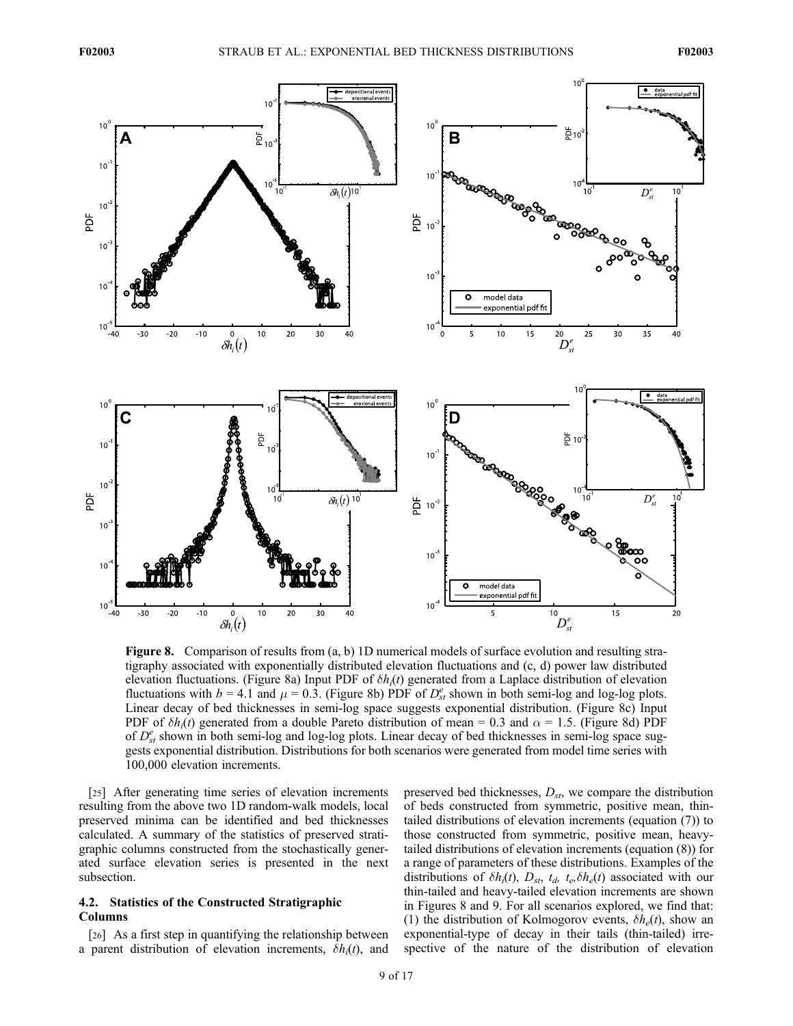

Figure 8. Comparison of results from (a, b) 1D numerical models of surface evolution and resulting stratigraphy associated with exponentially distributed elevation fluctuations and (c, d) power law distributed elevation fluctuations. (Figure 8a) Input PDF of  $\delta h_i(t)$  generated from a Laplace distribution of elevation fluctuations with  $b = 4.1$  and  $\mu = 0.3$ . (Figure 8b) PDF of  $D_{st}^e$  shown in both semi-log and log-log plots. Linear decay of bed thicknesses in semi-log space suggests exponential distribution. (Figure 8c) Input PDF of  $\delta h_i(t)$  generated from a double Pareto distribution of mean = 0.3 and  $\alpha$  = 1.5. (Figure 8d) PDF of  $D_{st}^e$  shown in both semi-log and log-log plots. Linear decay of bed thicknesses in semi-log space suggests exponential distribution. Distributions for both scenarios were generated from model time series with 100,000 elevation increments.

[25] After generating time series of elevation increments resulting from the above two 1D random-walk models, local preserved minima can be identified and bed thicknesses calculated. A summary of the statistics of preserved stratigraphic columns constructed from the stochastically generated surface elevation series is presented in the next subsection.

# 4.2. Statistics of the Constructed Stratigraphic Columns

[26] As a first step in quantifying the relationship between a parent distribution of elevation increments,  $\delta h_i(t)$ , and preserved bed thicknesses,  $D_{st}$ , we compare the distribution of beds constructed from symmetric, positive mean, thintailed distributions of elevation increments (equation (7)) to those constructed from symmetric, positive mean, heavytailed distributions of elevation increments (equation (8)) for a range of parameters of these distributions. Examples of the distributions of  $\delta h_i(t)$ ,  $D_{st}$ ,  $t_d$ ,  $t_e$ ,  $\delta h_e(t)$  associated with our thin-tailed and heavy-tailed elevation increments are shown in Figures 8 and 9. For all scenarios explored, we find that: (1) the distribution of Kolmogorov events,  $\delta h_e(t)$ , show an exponential-type of decay in their tails (thin-tailed) irrespective of the nature of the distribution of elevation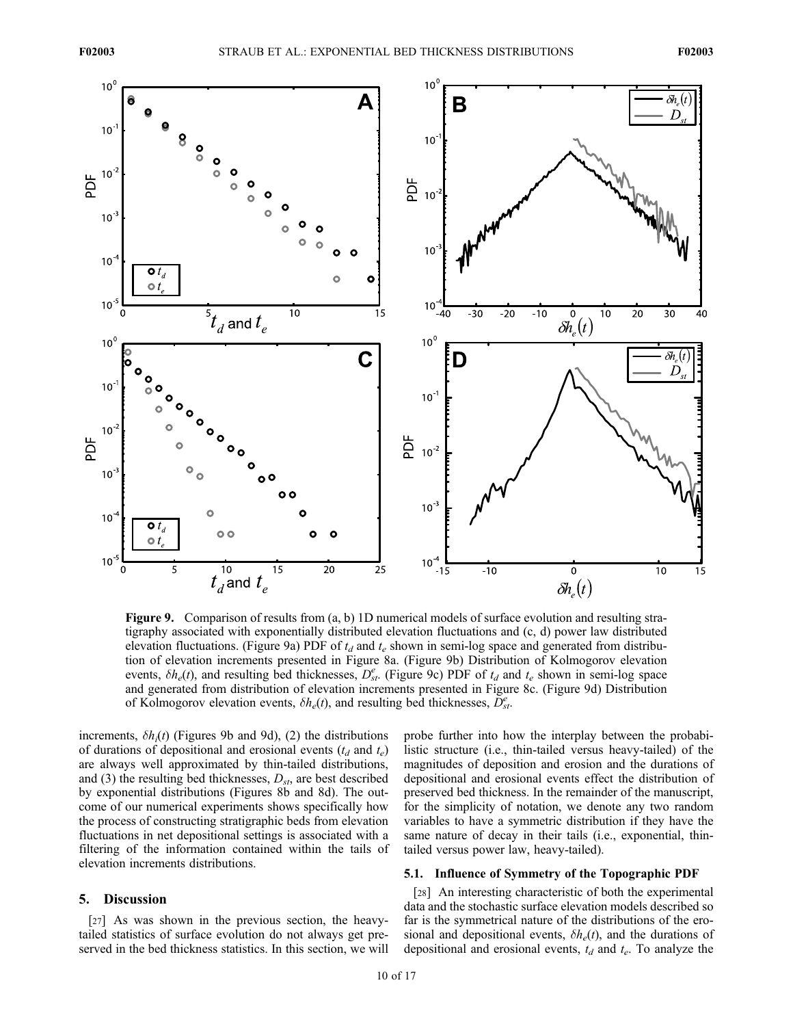

Figure 9. Comparison of results from (a, b) 1D numerical models of surface evolution and resulting stratigraphy associated with exponentially distributed elevation fluctuations and (c, d) power law distributed elevation fluctuations. (Figure 9a) PDF of  $t_d$  and  $t_e$  shown in semi-log space and generated from distribution of elevation increments presented in Figure 8a. (Figure 9b) Distribution of Kolmogorov elevation events,  $\delta h_e(t)$ , and resulting bed thicknesses,  $D_{st}^e$ . (Figure 9c) PDF of  $t_d$  and  $t_e$  shown in semi-log space and generated from distribution of elevation increments presented in Figure 8c. (Figure 9d) Distribution of Kolmogorov elevation events,  $\delta h_e(t)$ , and resulting bed thicknesses,  $\overline{D}_{st}^e$ .

increments,  $\delta h_i(t)$  (Figures 9b and 9d), (2) the distributions of durations of depositional and erosional events  $(t_d$  and  $t_e)$ are always well approximated by thin-tailed distributions, and (3) the resulting bed thicknesses,  $D_{st}$ , are best described by exponential distributions (Figures 8b and 8d). The outcome of our numerical experiments shows specifically how the process of constructing stratigraphic beds from elevation fluctuations in net depositional settings is associated with a filtering of the information contained within the tails of elevation increments distributions.

## 5. Discussion

[27] As was shown in the previous section, the heavytailed statistics of surface evolution do not always get preserved in the bed thickness statistics. In this section, we will probe further into how the interplay between the probabilistic structure (i.e., thin-tailed versus heavy-tailed) of the magnitudes of deposition and erosion and the durations of depositional and erosional events effect the distribution of preserved bed thickness. In the remainder of the manuscript, for the simplicity of notation, we denote any two random variables to have a symmetric distribution if they have the same nature of decay in their tails (i.e., exponential, thintailed versus power law, heavy-tailed).

# 5.1. Influence of Symmetry of the Topographic PDF

[28] An interesting characteristic of both the experimental data and the stochastic surface elevation models described so far is the symmetrical nature of the distributions of the erosional and depositional events,  $\delta h_e(t)$ , and the durations of depositional and erosional events,  $t_d$  and  $t_e$ . To analyze the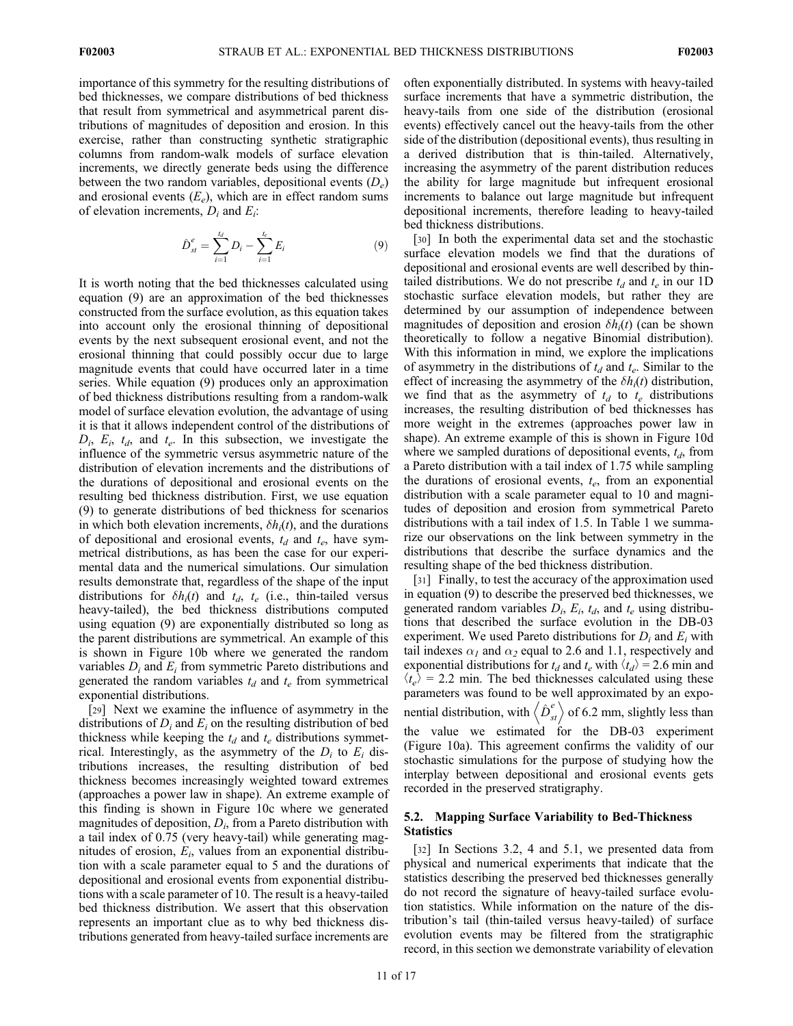importance of this symmetry for the resulting distributions of bed thicknesses, we compare distributions of bed thickness that result from symmetrical and asymmetrical parent distributions of magnitudes of deposition and erosion. In this exercise, rather than constructing synthetic stratigraphic columns from random-walk models of surface elevation increments, we directly generate beds using the difference between the two random variables, depositional events  $(D_e)$ and erosional events  $(E_e)$ , which are in effect random sums of elevation increments,  $D_i$  and  $E_i$ :

$$
\hat{D}_{st}^e = \sum_{i=1}^{t_d} D_i - \sum_{i=1}^{t_e} E_i \tag{9}
$$

It is worth noting that the bed thicknesses calculated using equation (9) are an approximation of the bed thicknesses constructed from the surface evolution, as this equation takes into account only the erosional thinning of depositional events by the next subsequent erosional event, and not the erosional thinning that could possibly occur due to large magnitude events that could have occurred later in a time series. While equation (9) produces only an approximation of bed thickness distributions resulting from a random-walk model of surface elevation evolution, the advantage of using it is that it allows independent control of the distributions of  $D_i$ ,  $E_i$ ,  $t_d$ , and  $t_e$ . In this subsection, we investigate the influence of the symmetric versus asymmetric nature of the distribution of elevation increments and the distributions of the durations of depositional and erosional events on the resulting bed thickness distribution. First, we use equation (9) to generate distributions of bed thickness for scenarios in which both elevation increments,  $\delta h_i(t)$ , and the durations of depositional and erosional events,  $t_d$  and  $t_e$ , have symmetrical distributions, as has been the case for our experimental data and the numerical simulations. Our simulation results demonstrate that, regardless of the shape of the input distributions for  $\delta h_i(t)$  and  $t_d$ ,  $t_e$  (i.e., thin-tailed versus heavy-tailed), the bed thickness distributions computed using equation (9) are exponentially distributed so long as the parent distributions are symmetrical. An example of this is shown in Figure 10b where we generated the random variables  $D_i$  and  $E_i$  from symmetric Pareto distributions and generated the random variables  $t_d$  and  $t_e$  from symmetrical exponential distributions.

[29] Next we examine the influence of asymmetry in the distributions of  $D_i$  and  $E_i$  on the resulting distribution of bed thickness while keeping the  $t_d$  and  $t_e$  distributions symmetrical. Interestingly, as the asymmetry of the  $D_i$  to  $E_i$  distributions increases, the resulting distribution of bed thickness becomes increasingly weighted toward extremes (approaches a power law in shape). An extreme example of this finding is shown in Figure 10c where we generated magnitudes of deposition,  $D_i$ , from a Pareto distribution with a tail index of 0.75 (very heavy-tail) while generating magnitudes of erosion,  $E_i$ , values from an exponential distribution with a scale parameter equal to 5 and the durations of depositional and erosional events from exponential distributions with a scale parameter of 10. The result is a heavy-tailed bed thickness distribution. We assert that this observation represents an important clue as to why bed thickness distributions generated from heavy-tailed surface increments are

often exponentially distributed. In systems with heavy-tailed surface increments that have a symmetric distribution, the heavy-tails from one side of the distribution (erosional events) effectively cancel out the heavy-tails from the other side of the distribution (depositional events), thus resulting in a derived distribution that is thin-tailed. Alternatively, increasing the asymmetry of the parent distribution reduces the ability for large magnitude but infrequent erosional increments to balance out large magnitude but infrequent depositional increments, therefore leading to heavy-tailed bed thickness distributions.

[30] In both the experimental data set and the stochastic surface elevation models we find that the durations of depositional and erosional events are well described by thintailed distributions. We do not prescribe  $t_d$  and  $t_e$  in our 1D stochastic surface elevation models, but rather they are determined by our assumption of independence between magnitudes of deposition and erosion  $\delta h_i(t)$  (can be shown theoretically to follow a negative Binomial distribution). With this information in mind, we explore the implications of asymmetry in the distributions of  $t_d$  and  $t_e$ . Similar to the effect of increasing the asymmetry of the  $\delta h_i(t)$  distribution, we find that as the asymmetry of  $t_d$  to  $t_e$  distributions increases, the resulting distribution of bed thicknesses has more weight in the extremes (approaches power law in shape). An extreme example of this is shown in Figure 10d where we sampled durations of depositional events,  $t_d$ , from a Pareto distribution with a tail index of 1.75 while sampling the durations of erosional events,  $t_e$ , from an exponential distribution with a scale parameter equal to 10 and magnitudes of deposition and erosion from symmetrical Pareto distributions with a tail index of 1.5. In Table 1 we summarize our observations on the link between symmetry in the distributions that describe the surface dynamics and the resulting shape of the bed thickness distribution.

[31] Finally, to test the accuracy of the approximation used in equation (9) to describe the preserved bed thicknesses, we generated random variables  $D_i$ ,  $E_i$ ,  $t_d$ , and  $t_e$  using distributions that described the surface evolution in the DB-03 experiment. We used Pareto distributions for  $D_i$  and  $E_i$  with tail indexes  $\alpha_1$  and  $\alpha_2$  equal to 2.6 and 1.1, respectively and exponential distributions for  $t_d$  and  $t_e$  with  $\langle t_d \rangle = 2.6$  min and  $\langle t_e \rangle$  = 2.2 min. The bed thicknesses calculated using these parameters was found to be well approximated by an exponential distribution, with  $\langle \hat{D}^e_{st} \rangle$  of 6.2 mm, slightly less than the value we estimated for the DB-03 experiment (Figure 10a). This agreement confirms the validity of our stochastic simulations for the purpose of studying how the interplay between depositional and erosional events gets recorded in the preserved stratigraphy.

# 5.2. Mapping Surface Variability to Bed-Thickness **Statistics**

[32] In Sections 3.2, 4 and 5.1, we presented data from physical and numerical experiments that indicate that the statistics describing the preserved bed thicknesses generally do not record the signature of heavy-tailed surface evolution statistics. While information on the nature of the distribution's tail (thin-tailed versus heavy-tailed) of surface evolution events may be filtered from the stratigraphic record, in this section we demonstrate variability of elevation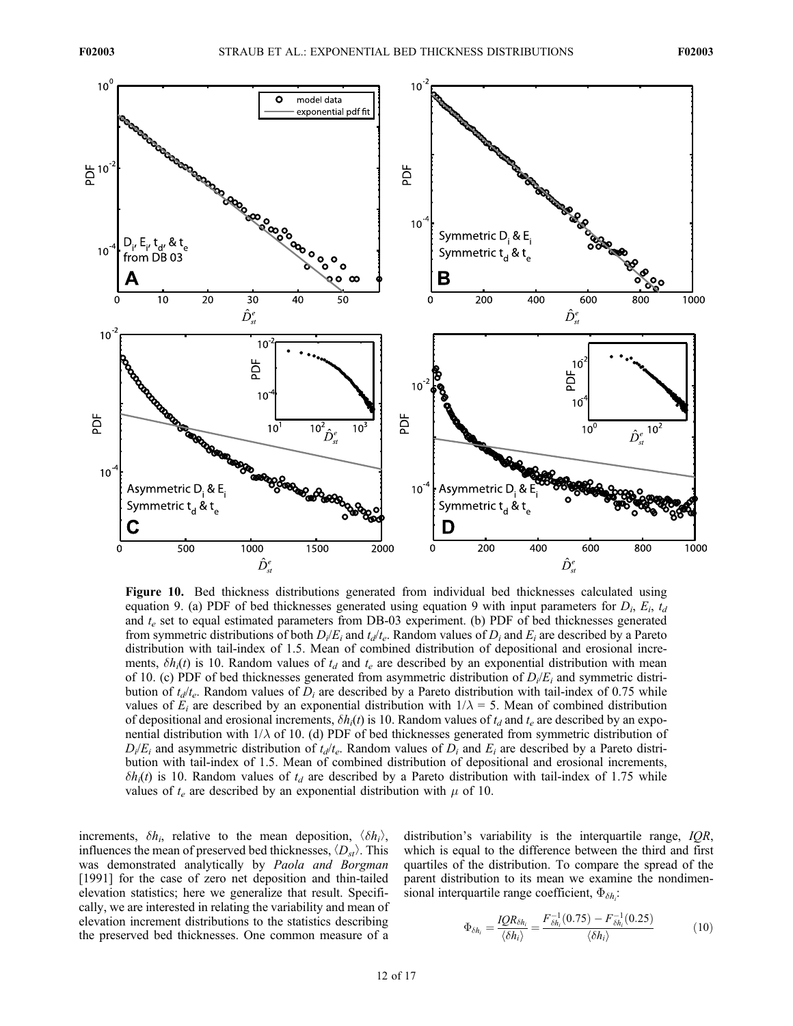

Figure 10. Bed thickness distributions generated from individual bed thicknesses calculated using equation 9. (a) PDF of bed thicknesses generated using equation 9 with input parameters for  $D_i$ ,  $E_i$ ,  $t_d$ and  $t_e$  set to equal estimated parameters from DB-03 experiment. (b) PDF of bed thicknesses generated from symmetric distributions of both  $D_i/E_i$  and  $t_d/t_e$ . Random values of  $D_i$  and  $E_i$  are described by a Pareto distribution with tail-index of 1.5. Mean of combined distribution of depositional and erosional increments,  $\delta h_i(t)$  is 10. Random values of  $t_d$  and  $t_e$  are described by an exponential distribution with mean of 10. (c) PDF of bed thicknesses generated from asymmetric distribution of  $D_i/E_i$  and symmetric distribution of  $t_d/t_e$ . Random values of  $D_i$  are described by a Pareto distribution with tail-index of 0.75 while values of  $E_i$  are described by an exponential distribution with  $1/\lambda = 5$ . Mean of combined distribution of depositional and erosional increments,  $\delta h_i(t)$  is 10. Random values of  $t_d$  and  $t_e$  are described by an exponential distribution with  $1/\lambda$  of 10. (d) PDF of bed thicknesses generated from symmetric distribution of  $D_i/E_i$  and asymmetric distribution of  $t_d/t_e$ . Random values of  $D_i$  and  $E_i$  are described by a Pareto distribution with tail-index of 1.5. Mean of combined distribution of depositional and erosional increments,  $\delta h_i(t)$  is 10. Random values of  $t_d$  are described by a Pareto distribution with tail-index of 1.75 while values of  $t_e$  are described by an exponential distribution with  $\mu$  of 10.

increments,  $\delta h_i$ , relative to the mean deposition,  $\langle \delta h_i \rangle$ , influences the mean of preserved bed thicknesses,  $\langle D_{st} \rangle$ . This was demonstrated analytically by Paola and Borgman [1991] for the case of zero net deposition and thin-tailed elevation statistics; here we generalize that result. Specifically, we are interested in relating the variability and mean of elevation increment distributions to the statistics describing the preserved bed thicknesses. One common measure of a

distribution's variability is the interquartile range, *IQR*, which is equal to the difference between the third and first quartiles of the distribution. To compare the spread of the parent distribution to its mean we examine the nondimensional interquartile range coefficient,  $\Phi_{\delta h_i}$ :

$$
\Phi_{\delta h_i} = \frac{IQR_{\delta h_i}}{\langle \delta h_i \rangle} = \frac{F_{\delta h_i}^{-1}(0.75) - F_{\delta h_i}^{-1}(0.25)}{\langle \delta h_i \rangle} \tag{10}
$$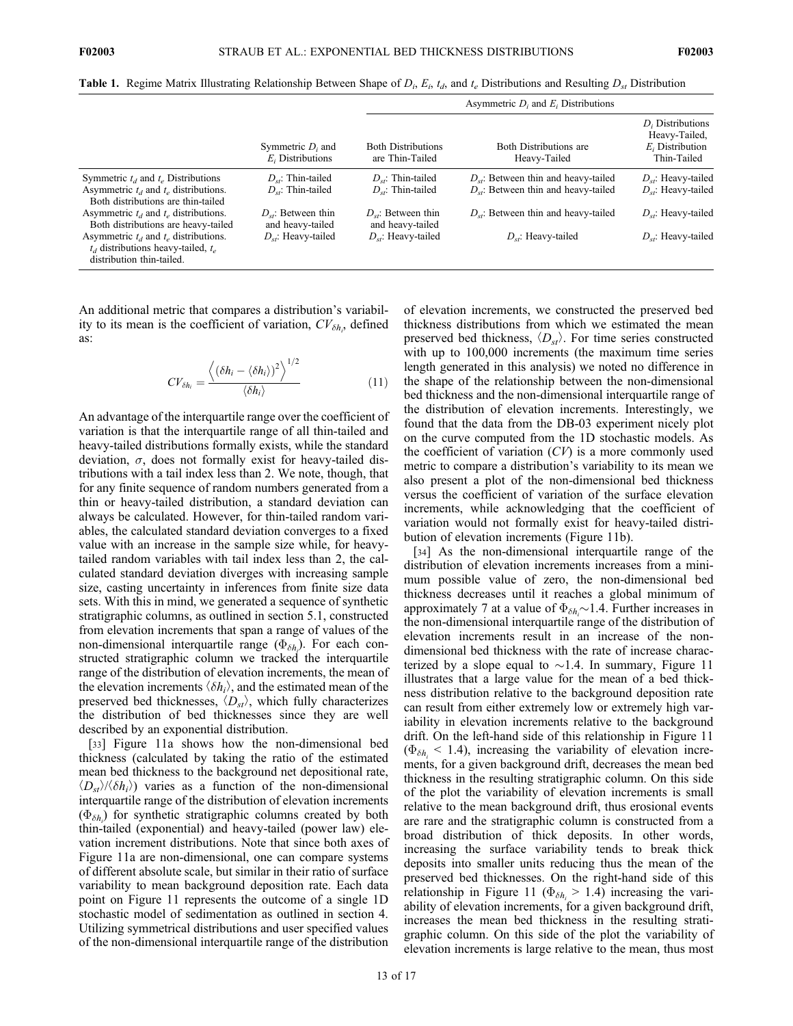|  |  |  |  |  |  |  | <b>Table 1.</b> Regime Matrix Illustrating Relationship Between Shape of $D_i$ , $E_i$ , $t_d$ , and $t_e$ Distributions and Resulting $D_{st}$ Distribution |
|--|--|--|--|--|--|--|--------------------------------------------------------------------------------------------------------------------------------------------------------------|
|--|--|--|--|--|--|--|--------------------------------------------------------------------------------------------------------------------------------------------------------------|

|                                                                                                                   |                                              | Asymmetric $D_i$ and $E_i$ Distributions     |                                               |                                                                             |  |  |
|-------------------------------------------------------------------------------------------------------------------|----------------------------------------------|----------------------------------------------|-----------------------------------------------|-----------------------------------------------------------------------------|--|--|
|                                                                                                                   | Symmetric $D_i$ and<br>$E_i$ , Distributions | <b>Both Distributions</b><br>are Thin-Tailed | <b>Both Distributions are</b><br>Heavy-Tailed | $D_i$ . Distributions<br>Heavy-Tailed,<br>$E_i$ Distribution<br>Thin-Tailed |  |  |
| Symmetric $t_d$ and $t_e$ Distributions                                                                           | $D_{st}$ : Thin-tailed                       | $D_{st}$ : Thin-tailed                       | $D_{st}$ : Between thin and heavy-tailed      | $D_{st}$ : Heavy-tailed                                                     |  |  |
| Asymmetric $t_d$ and $t_e$ distributions.<br>Both distributions are thin-tailed                                   | $D_{st}$ : Thin-tailed                       | $D_{st}$ : Thin-tailed                       | $D_{st}$ : Between thin and heavy-tailed      | $D_{st}$ : Heavy-tailed                                                     |  |  |
| Asymmetric $t_d$ and $t_e$ distributions.<br>Both distributions are heavy-tailed                                  | $D_{st}$ : Between thin<br>and heavy-tailed  | $D_{st}$ : Between thin<br>and heavy-tailed  | $D_{st}$ : Between thin and heavy-tailed      | $D_{st}$ : Heavy-tailed                                                     |  |  |
| Asymmetric $t_d$ and $t_e$ distributions.<br>$t_d$ distributions heavy-tailed, $t_e$<br>distribution thin-tailed. | $D_{st}$ : Heavy-tailed                      | $D_{st}$ : Heavy-tailed                      | $D_{st}$ : Heavy-tailed                       | $D_{st}$ : Heavy-tailed                                                     |  |  |

An additional metric that compares a distribution's variability to its mean is the coefficient of variation,  $CV_{\delta h}$ , defined as:

$$
CV_{\delta h_i} = \frac{\langle (\delta h_i - \langle \delta h_i \rangle)^2 \rangle^{1/2}}{\langle \delta h_i \rangle}
$$
 (11)

An advantage of the interquartile range over the coefficient of variation is that the interquartile range of all thin-tailed and heavy-tailed distributions formally exists, while the standard deviation,  $\sigma$ , does not formally exist for heavy-tailed distributions with a tail index less than 2. We note, though, that for any finite sequence of random numbers generated from a thin or heavy-tailed distribution, a standard deviation can always be calculated. However, for thin-tailed random variables, the calculated standard deviation converges to a fixed value with an increase in the sample size while, for heavytailed random variables with tail index less than 2, the calculated standard deviation diverges with increasing sample size, casting uncertainty in inferences from finite size data sets. With this in mind, we generated a sequence of synthetic stratigraphic columns, as outlined in section 5.1, constructed from elevation increments that span a range of values of the non-dimensional interquartile range  $(\Phi_{\delta h_i})$ . For each constructed stratigraphic column we tracked the interquartile range of the distribution of elevation increments, the mean of the elevation increments  $\langle \delta h_i \rangle$ , and the estimated mean of the preserved bed thicknesses,  $\langle D_{st} \rangle$ , which fully characterizes the distribution of bed thicknesses since they are well described by an exponential distribution.

[33] Figure 11a shows how the non-dimensional bed thickness (calculated by taking the ratio of the estimated mean bed thickness to the background net depositional rate,  $\langle D_{st}\rangle/\langle \delta h_i\rangle$  varies as a function of the non-dimensional interquartile range of the distribution of elevation increments  $(\Phi_{\delta h_i})$  for synthetic stratigraphic columns created by both thin-tailed (exponential) and heavy-tailed (power law) elevation increment distributions. Note that since both axes of Figure 11a are non-dimensional, one can compare systems of different absolute scale, but similar in their ratio of surface variability to mean background deposition rate. Each data point on Figure 11 represents the outcome of a single 1D stochastic model of sedimentation as outlined in section 4. Utilizing symmetrical distributions and user specified values of the non-dimensional interquartile range of the distribution

of elevation increments, we constructed the preserved bed thickness distributions from which we estimated the mean preserved bed thickness,  $\langle D_{st} \rangle$ . For time series constructed with up to 100,000 increments (the maximum time series length generated in this analysis) we noted no difference in the shape of the relationship between the non-dimensional bed thickness and the non-dimensional interquartile range of the distribution of elevation increments. Interestingly, we found that the data from the DB-03 experiment nicely plot on the curve computed from the 1D stochastic models. As the coefficient of variation  $(CV)$  is a more commonly used metric to compare a distribution's variability to its mean we also present a plot of the non-dimensional bed thickness versus the coefficient of variation of the surface elevation increments, while acknowledging that the coefficient of variation would not formally exist for heavy-tailed distribution of elevation increments (Figure 11b).

[34] As the non-dimensional interquartile range of the distribution of elevation increments increases from a minimum possible value of zero, the non-dimensional bed thickness decreases until it reaches a global minimum of approximately 7 at a value of  $\Phi_{\delta h} \sim 1.4$ . Further increases in the non-dimensional interquartile range of the distribution of the non-dimensional interquartile range of the distribution of elevation increments result in an increase of the nondimensional bed thickness with the rate of increase characterized by a slope equal to  $\sim$ 1.4. In summary, Figure 11 illustrates that a large value for the mean of a bed thickness distribution relative to the background deposition rate can result from either extremely low or extremely high variability in elevation increments relative to the background drift. On the left-hand side of this relationship in Figure 11  $(\Phi_{\delta h}$  < 1.4), increasing the variability of elevation increments, for a given background drift, decreases the mean bed thickness in the resulting stratigraphic column. On this side of the plot the variability of elevation increments is small relative to the mean background drift, thus erosional events are rare and the stratigraphic column is constructed from a broad distribution of thick deposits. In other words, increasing the surface variability tends to break thick deposits into smaller units reducing thus the mean of the preserved bed thicknesses. On the right-hand side of this relationship in Figure 11 ( $\Phi_{\delta h_i}$  > 1.4) increasing the variability of elevation increments, for a given background drift, increases the mean bed thickness in the resulting stratigraphic column. On this side of the plot the variability of elevation increments is large relative to the mean, thus most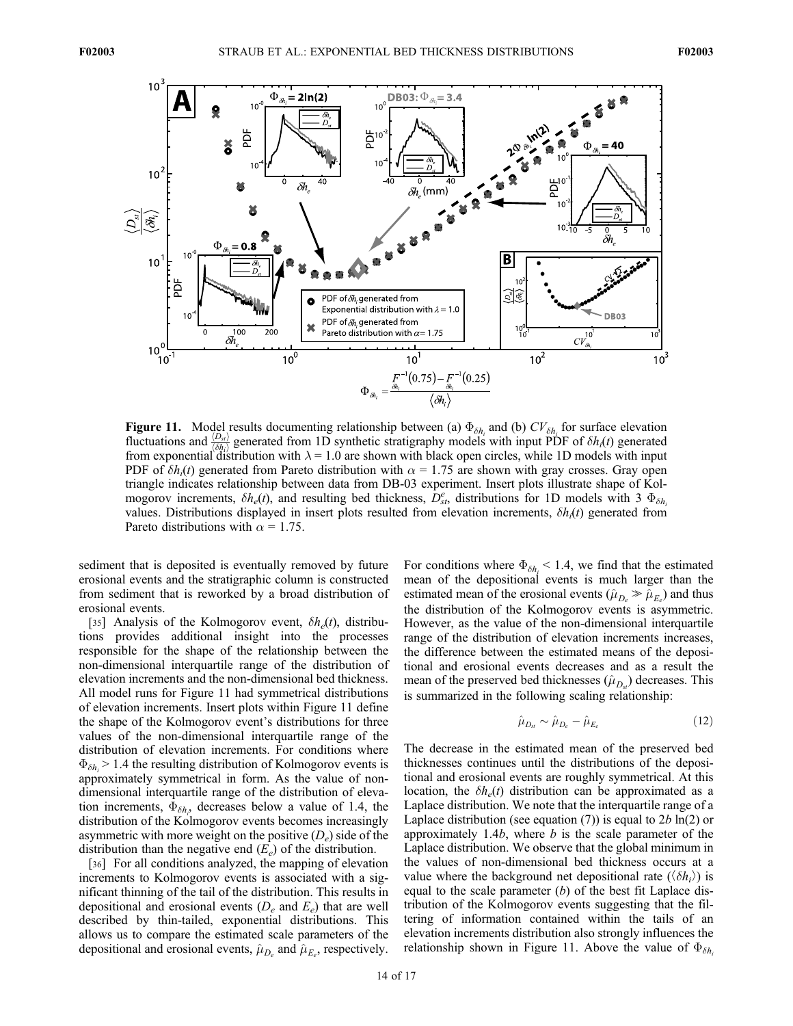

**Figure 11.** Model results documenting relationship between (a)  $\Phi_{\delta h_i}$  and (b)  $CV_{\delta h_i}$  for surface elevation fluctuations and  $\frac{\langle D_{st} \rangle}{\langle \delta h_i \rangle}$  generated from 1D synthetic stratigraphy models with input PDF of  $\delta h_i(t)$  generated from exponential distribution with  $\lambda = 1.0$  are shown with black open circles, while 1D models PDF of  $\delta h_i(t)$  generated from Pareto distribution with  $\alpha = 1.75$  are shown with gray crosses. Gray open triangle indicates relationship between data from DB-03 experiment. Insert plots illustrate shape of Kolmogorov increments,  $\delta h_e(t)$ , and resulting bed thickness,  $D_{st}^e$ , distributions for 1D models with 3  $\Phi_{\delta h_i}$ values. Distributions displayed in insert plots resulted from elevation increments,  $\delta h_i(t)$  generated from Pareto distributions with  $\alpha = 1.75$ .

sediment that is deposited is eventually removed by future erosional events and the stratigraphic column is constructed from sediment that is reworked by a broad distribution of erosional events.

[35] Analysis of the Kolmogorov event,  $\delta h_e(t)$ , distributions provides additional insight into the processes responsible for the shape of the relationship between the non-dimensional interquartile range of the distribution of elevation increments and the non-dimensional bed thickness. All model runs for Figure 11 had symmetrical distributions of elevation increments. Insert plots within Figure 11 define the shape of the Kolmogorov event's distributions for three values of the non-dimensional interquartile range of the distribution of elevation increments. For conditions where  $\Phi_{\delta h}$  > 1.4 the resulting distribution of Kolmogorov events is approximately symmetrical in form. As the value of nondimensional interquartile range of the distribution of elevation increments,  $\Phi_{\delta h_i}$ , decreases below a value of 1.4, the distribution of the Kolmogorov events becomes increasingly asymmetric with more weight on the positive  $(D_e)$  side of the distribution than the negative end  $(E_e)$  of the distribution.

[36] For all conditions analyzed, the mapping of elevation increments to Kolmogorov events is associated with a significant thinning of the tail of the distribution. This results in depositional and erosional events  $(D_e \text{ and } E_e)$  that are well described by thin-tailed, exponential distributions. This allows us to compare the estimated scale parameters of the depositional and erosional events,  $\hat{\mu}_{D_e}$  and  $\hat{\mu}_{E_e}$ , respectively.

For conditions where  $\Phi_{\delta h_i}$  < 1.4, we find that the estimated mean of the depositional events is much larger than the estimated mean of the erosional events ( $\hat{\mu}_{D_e} \gg \hat{\mu}_{E_e}$ ) and thus the distribution of the Kolmogorov events is asymmetric. However, as the value of the non-dimensional interquartile range of the distribution of elevation increments increases, the difference between the estimated means of the depositional and erosional events decreases and as a result the mean of the preserved bed thicknesses  $(\hat{\mu}_{D_s})$  decreases. This is summarized in the following scaling relationship:

$$
\hat{\mu}_{D_{st}} \sim \hat{\mu}_{D_e} - \hat{\mu}_{E_e} \tag{12}
$$

The decrease in the estimated mean of the preserved bed thicknesses continues until the distributions of the depositional and erosional events are roughly symmetrical. At this location, the  $\delta h_e(t)$  distribution can be approximated as a Laplace distribution. We note that the interquartile range of a Laplace distribution (see equation (7)) is equal to  $2b \ln(2)$  or approximately 1.4b, where  $b$  is the scale parameter of the Laplace distribution. We observe that the global minimum in the values of non-dimensional bed thickness occurs at a value where the background net depositional rate  $(\langle \delta h_i \rangle)$  is equal to the scale parameter  $(b)$  of the best fit Laplace distribution of the Kolmogorov events suggesting that the filtering of information contained within the tails of an elevation increments distribution also strongly influences the relationship shown in Figure 11. Above the value of  $\Phi_{\delta h}$ .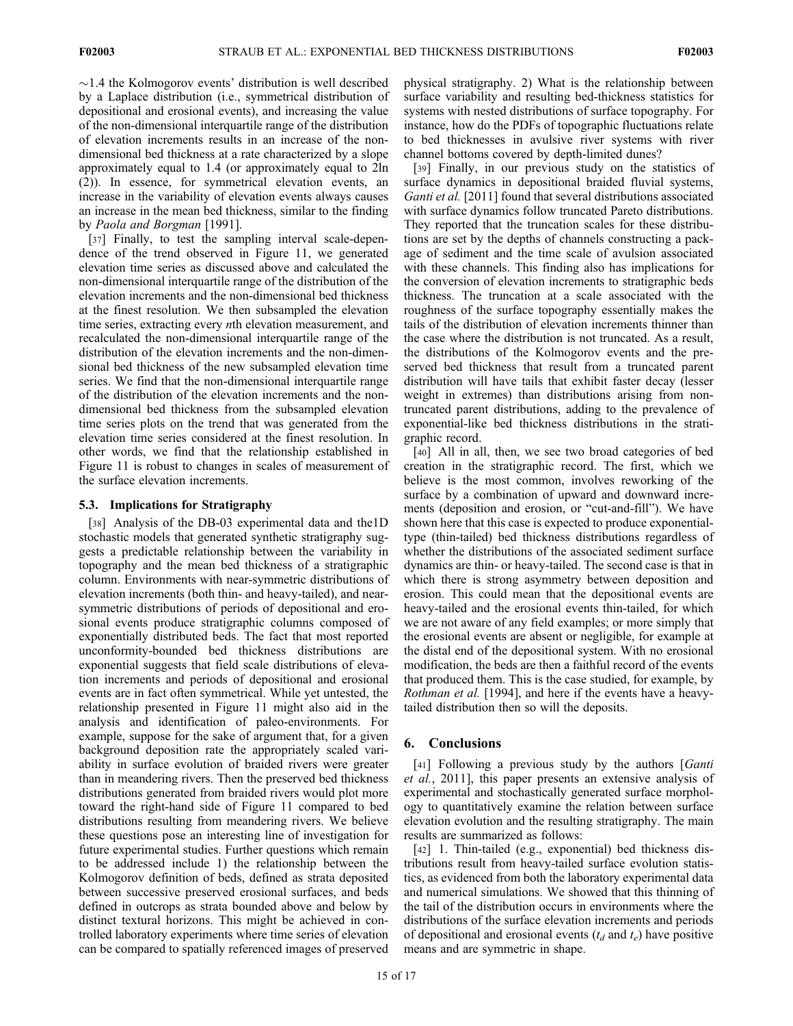$\sim$ 1.4 the Kolmogorov events' distribution is well described by a Laplace distribution (i.e., symmetrical distribution of depositional and erosional events), and increasing the value of the non-dimensional interquartile range of the distribution of elevation increments results in an increase of the nondimensional bed thickness at a rate characterized by a slope approximately equal to 1.4 (or approximately equal to 2ln (2)). In essence, for symmetrical elevation events, an increase in the variability of elevation events always causes an increase in the mean bed thickness, similar to the finding by Paola and Borgman [1991].

[37] Finally, to test the sampling interval scale-dependence of the trend observed in Figure 11, we generated elevation time series as discussed above and calculated the non-dimensional interquartile range of the distribution of the elevation increments and the non-dimensional bed thickness at the finest resolution. We then subsampled the elevation time series, extracting every nth elevation measurement, and recalculated the non-dimensional interquartile range of the distribution of the elevation increments and the non-dimensional bed thickness of the new subsampled elevation time series. We find that the non-dimensional interquartile range of the distribution of the elevation increments and the nondimensional bed thickness from the subsampled elevation time series plots on the trend that was generated from the elevation time series considered at the finest resolution. In other words, we find that the relationship established in Figure 11 is robust to changes in scales of measurement of the surface elevation increments.

# 5.3. Implications for Stratigraphy

[38] Analysis of the DB-03 experimental data and the1D stochastic models that generated synthetic stratigraphy suggests a predictable relationship between the variability in topography and the mean bed thickness of a stratigraphic column. Environments with near-symmetric distributions of elevation increments (both thin- and heavy-tailed), and nearsymmetric distributions of periods of depositional and erosional events produce stratigraphic columns composed of exponentially distributed beds. The fact that most reported unconformity-bounded bed thickness distributions are exponential suggests that field scale distributions of elevation increments and periods of depositional and erosional events are in fact often symmetrical. While yet untested, the relationship presented in Figure 11 might also aid in the analysis and identification of paleo-environments. For example, suppose for the sake of argument that, for a given background deposition rate the appropriately scaled variability in surface evolution of braided rivers were greater than in meandering rivers. Then the preserved bed thickness distributions generated from braided rivers would plot more toward the right-hand side of Figure 11 compared to bed distributions resulting from meandering rivers. We believe these questions pose an interesting line of investigation for future experimental studies. Further questions which remain to be addressed include 1) the relationship between the Kolmogorov definition of beds, defined as strata deposited between successive preserved erosional surfaces, and beds defined in outcrops as strata bounded above and below by distinct textural horizons. This might be achieved in controlled laboratory experiments where time series of elevation can be compared to spatially referenced images of preserved

physical stratigraphy. 2) What is the relationship between surface variability and resulting bed-thickness statistics for systems with nested distributions of surface topography. For instance, how do the PDFs of topographic fluctuations relate to bed thicknesses in avulsive river systems with river channel bottoms covered by depth-limited dunes?

[39] Finally, in our previous study on the statistics of surface dynamics in depositional braided fluvial systems, Ganti et al. [2011] found that several distributions associated with surface dynamics follow truncated Pareto distributions. They reported that the truncation scales for these distributions are set by the depths of channels constructing a package of sediment and the time scale of avulsion associated with these channels. This finding also has implications for the conversion of elevation increments to stratigraphic beds thickness. The truncation at a scale associated with the roughness of the surface topography essentially makes the tails of the distribution of elevation increments thinner than the case where the distribution is not truncated. As a result, the distributions of the Kolmogorov events and the preserved bed thickness that result from a truncated parent distribution will have tails that exhibit faster decay (lesser weight in extremes) than distributions arising from nontruncated parent distributions, adding to the prevalence of exponential-like bed thickness distributions in the stratigraphic record.

[40] All in all, then, we see two broad categories of bed creation in the stratigraphic record. The first, which we believe is the most common, involves reworking of the surface by a combination of upward and downward increments (deposition and erosion, or "cut-and-fill"). We have shown here that this case is expected to produce exponentialtype (thin-tailed) bed thickness distributions regardless of whether the distributions of the associated sediment surface dynamics are thin- or heavy-tailed. The second case is that in which there is strong asymmetry between deposition and erosion. This could mean that the depositional events are heavy-tailed and the erosional events thin-tailed, for which we are not aware of any field examples; or more simply that the erosional events are absent or negligible, for example at the distal end of the depositional system. With no erosional modification, the beds are then a faithful record of the events that produced them. This is the case studied, for example, by Rothman et al. [1994], and here if the events have a heavytailed distribution then so will the deposits.

# 6. Conclusions

[41] Following a previous study by the authors [*Ganti* et al., 2011], this paper presents an extensive analysis of experimental and stochastically generated surface morphology to quantitatively examine the relation between surface elevation evolution and the resulting stratigraphy. The main results are summarized as follows:

[42] 1. Thin-tailed (e.g., exponential) bed thickness distributions result from heavy-tailed surface evolution statistics, as evidenced from both the laboratory experimental data and numerical simulations. We showed that this thinning of the tail of the distribution occurs in environments where the distributions of the surface elevation increments and periods of depositional and erosional events  $(t_d$  and  $t_e$ ) have positive means and are symmetric in shape.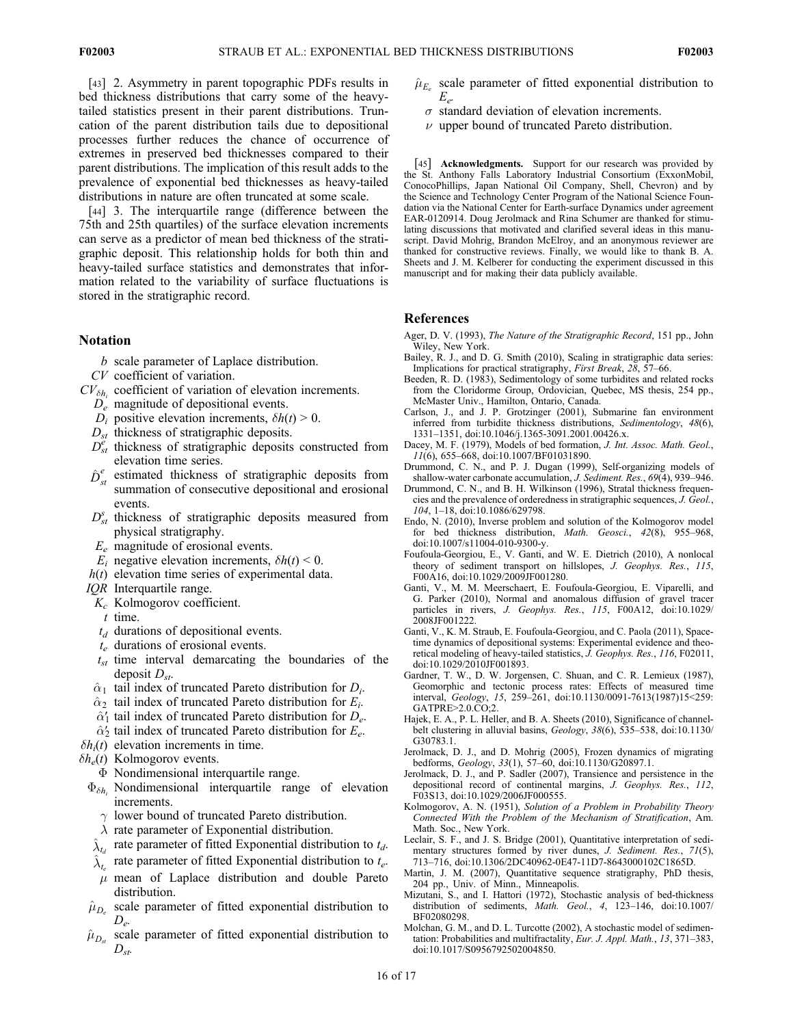[43] 2. Asymmetry in parent topographic PDFs results in bed thickness distributions that carry some of the heavytailed statistics present in their parent distributions. Truncation of the parent distribution tails due to depositional processes further reduces the chance of occurrence of extremes in preserved bed thicknesses compared to their parent distributions. The implication of this result adds to the prevalence of exponential bed thicknesses as heavy-tailed distributions in nature are often truncated at some scale.

[44] 3. The interquartile range (difference between the 75th and 25th quartiles) of the surface elevation increments can serve as a predictor of mean bed thickness of the stratigraphic deposit. This relationship holds for both thin and heavy-tailed surface statistics and demonstrates that information related to the variability of surface fluctuations is stored in the stratigraphic record.

#### Notation

- b scale parameter of Laplace distribution.
- CV coefficient of variation.
- $CV_{\delta h_i}$  coefficient of variation of elevation increments.
	- $D_e$  magnitude of depositional events.
	- $D_i$  positive elevation increments,  $\delta h(t) > 0$ .
	- $D_{st}$  thickness of stratigraphic deposits.
	- $D_{st}^e$  thickness of stratigraphic deposits constructed from elevation time series.
	- $\hat{D}_{st}^e$  estimated thickness of stratigraphic deposits from summation of consecutive depositional and erosional events.
	- $D_{st}^s$  thickness of stratigraphic deposits measured from physical stratigraphy.
	- $E_e$  magnitude of erosional events.
	- $E_i$  negative elevation increments,  $\delta h(t) \leq 0$ .
	- $h(t)$  elevation time series of experimental data.
- IQR Interquartile range.
- $K_c$  Kolmogorov coefficient.
- $t$  time.
- $t_d$  durations of depositional events.
- $t_e$  durations of erosional events.
- $t<sub>st</sub>$  time interval demarcating the boundaries of the deposit  $D_{st}$ .
- $\hat{\alpha}_1$  tail index of truncated Pareto distribution for  $D_i$ .
- $\hat{\alpha}_2$  tail index of truncated Pareto distribution for  $E_i$ .
- $\hat{\alpha}'_1$  tail index of truncated Pareto distribution for  $D_e$ .
- $\hat{\alpha}'_2$  tail index of truncated Pareto distribution for  $E_e$ .
- $\delta h_i(t)$  elevation increments in time.
- $\delta h_e(t)$  Kolmogorov events.
	- $\Phi$  Nondimensional interquartile range.
	- $\Phi_{\delta h_i}$  Nondimensional interquartile range of elevation increments.
		- $\gamma$  lower bound of truncated Pareto distribution.
		- $\lambda$  rate parameter of Exponential distribution.
	- $\hat{\lambda}_{t_d}$  rate parameter of fitted Exponential distribution to  $t_d$ .
	- $\hat{\lambda}_{t_c}$  rate parameter of fitted Exponential distribution to  $t_e$ .
	- $\mu$  mean of Laplace distribution and double Pareto distribution.
	- $\hat{\mu}_{D_e}$  scale parameter of fitted exponential distribution to  $D_e$
- $\hat{\mu}_{D_{st}}$  scale parameter of fitted exponential distribution to  $D_{st}$ .
- $\hat{\mu}_{E_e}$  scale parameter of fitted exponential distribution to  $E_e$ 
	- $\sigma$  standard deviation of elevation increments.
	- $\nu$  upper bound of truncated Pareto distribution.

[45] Acknowledgments. Support for our research was provided by the St. Anthony Falls Laboratory Industrial Consortium (ExxonMobil, ConocoPhillips, Japan National Oil Company, Shell, Chevron) and by the Science and Technology Center Program of the National Science Foundation via the National Center for Earth-surface Dynamics under agreement EAR-0120914. Doug Jerolmack and Rina Schumer are thanked for stimulating discussions that motivated and clarified several ideas in this manuscript. David Mohrig, Brandon McElroy, and an anonymous reviewer are thanked for constructive reviews. Finally, we would like to thank B. A. Sheets and J. M. Kelberer for conducting the experiment discussed in this manuscript and for making their data publicly available.

#### References

- Ager, D. V. (1993), The Nature of the Stratigraphic Record, 151 pp., John Wiley, New York.
- Bailey, R. J., and D. G. Smith (2010), Scaling in stratigraphic data series: Implications for practical stratigraphy, First Break, 28, 57–66.
- Beeden, R. D. (1983), Sedimentology of some turbidites and related rocks from the Cloridorme Group, Ordovician, Quebec, MS thesis, 254 pp., McMaster Univ., Hamilton, Ontario, Canada.
- Carlson, J., and J. P. Grotzinger (2001), Submarine fan environment inferred from turbidite thickness distributions, Sedimentology, 48(6), 1331–1351, doi:10.1046/j.1365-3091.2001.00426.x.
- Dacey, M. F. (1979), Models of bed formation, J. Int. Assoc. Math. Geol., 11(6), 655–668, doi:10.1007/BF01031890.
- Drummond, C. N., and P. J. Dugan (1999), Self-organizing models of shallow-water carbonate accumulation, J. Sediment. Res., 69(4), 939–946.
- Drummond, C. N., and B. H. Wilkinson (1996), Stratal thickness frequencies and the prevalence of orderedness in stratigraphic sequences, J. Geol., 104, 1–18, doi:10.1086/629798.
- Endo, N. (2010), Inverse problem and solution of the Kolmogorov model for bed thickness distribution, Math. Geosci., 42(8), 955–968, doi:10.1007/s11004-010-9300-y.
- Foufoula-Georgiou, E., V. Ganti, and W. E. Dietrich (2010), A nonlocal theory of sediment transport on hillslopes, J. Geophys. Res., 115, F00A16, doi:10.1029/2009JF001280.
- Ganti, V., M. M. Meerschaert, E. Foufoula-Georgiou, E. Viparelli, and G. Parker (2010), Normal and anomalous diffusion of gravel tracer particles in rivers, J. Geophys. Res., 115, F00A12, doi:10.1029/ 2008JF001222.
- Ganti, V., K. M. Straub, E. Foufoula-Georgiou, and C. Paola (2011), Spacetime dynamics of depositional systems: Experimental evidence and theoretical modeling of heavy-tailed statistics,  $\hat{J}$ . Geophys. Res., 116, F02011, doi:10.1029/2010JF001893.
- Gardner, T. W., D. W. Jorgensen, C. Shuan, and C. R. Lemieux (1987), Geomorphic and tectonic process rates: Effects of measured time interval, Geology, 15, 259–261, doi:10.1130/0091-7613(1987)15<259: GATPRE>2.0.CO;2.
- Hajek, E. A., P. L. Heller, and B. A. Sheets (2010), Significance of channelbelt clustering in alluvial basins, Geology, 38(6), 535–538, doi:10.1130/ G30783.1.
- Jerolmack, D. J., and D. Mohrig (2005), Frozen dynamics of migrating bedforms, Geology, 33(1), 57–60, doi:10.1130/G20897.1.
- Jerolmack, D. J., and P. Sadler (2007), Transience and persistence in the depositional record of continental margins, J. Geophys. Res., 112, F03S13, doi:10.1029/2006JF000555.
- Kolmogorov, A. N. (1951), Solution of a Problem in Probability Theory Connected With the Problem of the Mechanism of Stratification, Am. Math. Soc., New York.
- Leclair, S. F., and J. S. Bridge (2001), Quantitative interpretation of sedimentary structures formed by river dunes, J. Sediment. Res., 71(5), 713–716, doi:10.1306/2DC40962-0E47-11D7-8643000102C1865D.
- Martin, J. M. (2007), Quantitative sequence stratigraphy, PhD thesis, 204 pp., Univ. of Minn., Minneapolis.
- Mizutani, S., and I. Hattori (1972), Stochastic analysis of bed-thickness distribution of sediments, Math. Geol., 4, 123–146, doi:10.1007/ BF02080298.
- Molchan, G. M., and D. L. Turcotte (2002), A stochastic model of sedimentation: Probabilities and multifractality, Eur. J. Appl. Math., 13, 371–383, doi:10.1017/S0956792502004850.